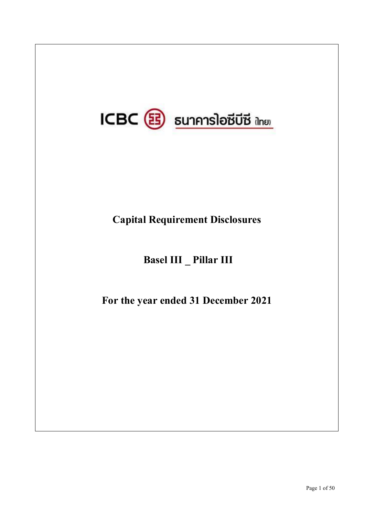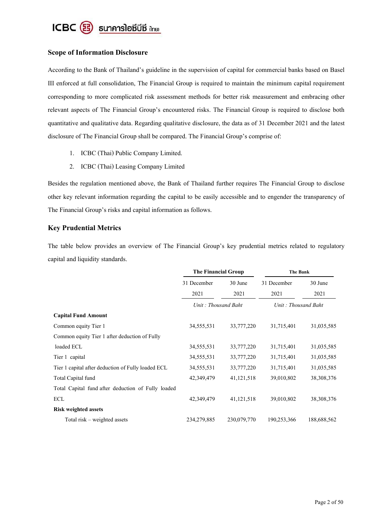

# **Scope of Information Disclosure**

According to the Bank of Thailand's guideline in the supervision of capital for commercial banks based on Basel III enforced at full consolidation, The Financial Group is required to maintain the minimum capital requirement corresponding to more complicated risk assessment methods for better risk measurement and embracing other relevant aspects of The Financial Group's encountered risks. The Financial Group is required to disclose both quantitative and qualitative data. Regarding qualitative disclosure, the data as of 31 December 2021 and the latest disclosure of The Financial Group shall be compared. The Financial Group's comprise of:

- 1. ICBC (Thai) Public Company Limited.
- 2. ICBC (Thai) Leasing Company Limited

Besides the regulation mentioned above, the Bank of Thailand further requires The Financial Group to disclose other key relevant information regarding the capital to be easily accessible and to engender the transparency of The Financial Group's risks and capital information as follows.

# **Key Prudential Metrics**

The table below provides an overview of The Financial Group's key prudential metrics related to regulatory capital and liquidity standards.

|                                                    | The Financial Group    |              | The Bank            |              |
|----------------------------------------------------|------------------------|--------------|---------------------|--------------|
|                                                    | 31 December<br>30 June |              | 31 December         | 30 June      |
|                                                    | 2021                   | 2021         | 2021                | 2021         |
|                                                    | Unit: Thousand Baht    |              | Unit: Thousand Baht |              |
| <b>Capital Fund Amount</b>                         |                        |              |                     |              |
| Common equity Tier 1                               | 34,555,531             | 33,777,220   | 31,715,401          | 31,035,585   |
| Common equity Tier 1 after deduction of Fully      |                        |              |                     |              |
| loaded ECL                                         | 34,555,531             | 33,777,220   | 31,715,401          | 31,035,585   |
| Tier 1 capital                                     | 34,555,531             | 33,777,220   | 31,715,401          | 31,035,585   |
| Tier 1 capital after deduction of Fully loaded ECL | 34,555,531             | 33,777,220   | 31,715,401          | 31,035,585   |
| Total Capital fund                                 | 42,349,479             | 41, 121, 518 | 39,010,802          | 38, 308, 376 |
| Total Capital fund after deduction of Fully loaded |                        |              |                     |              |
| ECL                                                | 42,349,479             | 41, 121, 518 | 39,010,802          | 38, 308, 376 |
| <b>Risk weighted assets</b>                        |                        |              |                     |              |
| Total risk – weighted assets                       | 234,279,885            | 230,079,770  | 190,253,366         | 188,688,562  |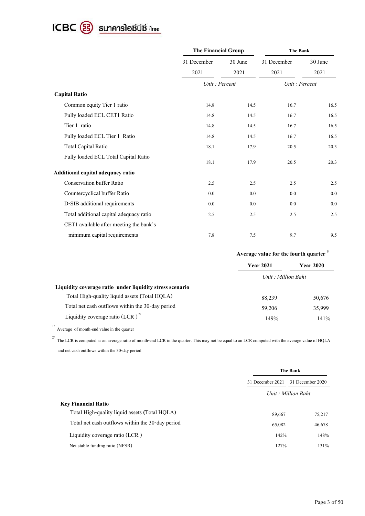

|                                         | <b>The Financial Group</b> |         | The Bank      |         |  |
|-----------------------------------------|----------------------------|---------|---------------|---------|--|
|                                         | 31 December                | 30 June | 31 December   | 30 June |  |
|                                         | 2021                       | 2021    | 2021          | 2021    |  |
|                                         | Unit: Percent              |         | Unit: Percent |         |  |
| <b>Capital Ratio</b>                    |                            |         |               |         |  |
| Common equity Tier 1 ratio              | 14.8                       | 14.5    | 16.7          | 16.5    |  |
| Fully loaded ECL CET1 Ratio             | 14.8                       | 14.5    | 16.7          | 16.5    |  |
| Tier 1 ratio                            | 14.8                       | 14.5    | 16.7          | 16.5    |  |
| Fully loaded ECL Tier 1 Ratio           | 14.8                       | 14.5    | 16.7          | 16.5    |  |
| <b>Total Capital Ratio</b>              | 18.1                       | 17.9    | 20.5          | 20.3    |  |
| Fully loaded ECL Total Capital Ratio    | 18.1                       | 17.9    | 20.5          | 20.3    |  |
| Additional capital adequacy ratio       |                            |         |               |         |  |
| <b>Conservation buffer Ratio</b>        | 2.5                        | 2.5     | 2.5           | 2.5     |  |
| Countercyclical buffer Ratio            | 0.0                        | 0.0     | 0.0           | 0.0     |  |
| D-SIB additional requirements           | 0.0                        | 0.0     | 0.0           | 0.0     |  |
| Total additional capital adequacy ratio | 2.5                        | 2.5     | 2.5           | 2.5     |  |
| CET1 available after meeting the bank's |                            |         |               |         |  |
| minimum capital requirements            | 7.8                        | 7.5     | 9.7           | 9.5     |  |

|                                                           | Average value for the fourth quarter |                  |  |
|-----------------------------------------------------------|--------------------------------------|------------------|--|
|                                                           | <b>Year 2021</b>                     | <b>Year 2020</b> |  |
|                                                           | Unit: Million Baht                   |                  |  |
| Liquidity coverage ratio under liquidity stress scenario  |                                      |                  |  |
| Total High-quality liquid assets (Total HQLA)             | 88,239                               | 50,676           |  |
| Total net cash outflows within the 30-day period          | 59,206                               | 35,999           |  |
| Liquidity coverage ratio (LCR) <sup><math>27</math></sup> | 149%                                 | 141%             |  |

<sup>1/</sup> Average of month-end value in the quarter

 $2^{2}$  The LCR is computed as an average ratio of month-end LCR in the quarter. This may not be equal to an LCR computed with the average value of HQLA and net cash outflows within the 30-day period

|                                                  | The Bank         |                    |  |
|--------------------------------------------------|------------------|--------------------|--|
|                                                  | 31 December 2021 | 31 December 2020   |  |
|                                                  |                  | Unit: Million Baht |  |
| <b>Key Financial Ratio</b>                       |                  |                    |  |
| Total High-quality liquid assets (Total HQLA)    | 89,667           | 75,217             |  |
| Total net cash outflows within the 30-day period | 65,082           | 46,678             |  |
| Liquidity coverage ratio (LCR)                   | 142%             | 148%               |  |
| Net stable funding ratio (NFSR)                  | 127%             | 131%               |  |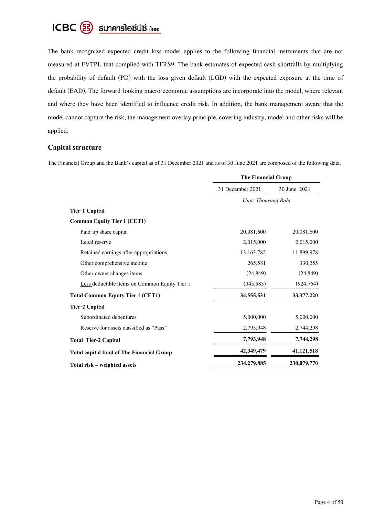

The bank recognized expected credit loss model applies to the following financial instruments that are not measured at FVTPL that complied with TFRS9. The bank estimates of expected cash shortfalls by multiplying the probability of default (PD) with the loss given default (LGD) with the expected exposure at the time of default (EAD). The forward-looking macro-economic assumptions are incorporate into the model, where relevant and where they have been identified to influence credit risk. In addition, the bank management aware that the model cannot capture the risk, the management overlay principle, covering industry, model and other risks will be applied.

# **Capital structure**

The Financial Group and the Bank's capital as of 31 December 2021 and as of 30 June 2021 are composed of the following data.

|                                                  | <b>The Financial Group</b> |              |  |
|--------------------------------------------------|----------------------------|--------------|--|
|                                                  | 31 December 2021           | 30 June 2021 |  |
|                                                  | Unit: Thousand Baht        |              |  |
| <b>Tier-1 Capital</b>                            |                            |              |  |
| <b>Common Equity Tier 1 (CET1)</b>               |                            |              |  |
| Paid-up share capital                            | 20,081,600                 | 20,081,600   |  |
| Legal reserve                                    | 2,015,000                  | 2,015,000    |  |
| Retained earnings after appropriations           | 13,163,782                 | 11,899,978   |  |
| Other comprehensive income                       | 265,581                    | 330,255      |  |
| Other owner changes items                        | (24, 849)                  | (24, 849)    |  |
| Less deductible items on Common Equity Tier 1    | (945, 583)                 | (924, 764)   |  |
| <b>Total Common Equity Tier 1 (CET1)</b>         | 34,555,531                 | 33, 377, 220 |  |
| Tier-2 Capital                                   |                            |              |  |
| Subordinated debentures                          | 5,000,000                  | 5,000,000    |  |
| Reserve for assets classified as "Pass"          | 2,793,948                  | 2,744,298    |  |
| <b>Total Tier-2 Capital</b>                      | 7,793,948                  | 7,744,298    |  |
| <b>Total capital fund of The Financial Group</b> | 42,349,479                 | 41,121,518   |  |
| Total risk – weighted assets                     | 234,279,885                | 230,079,770  |  |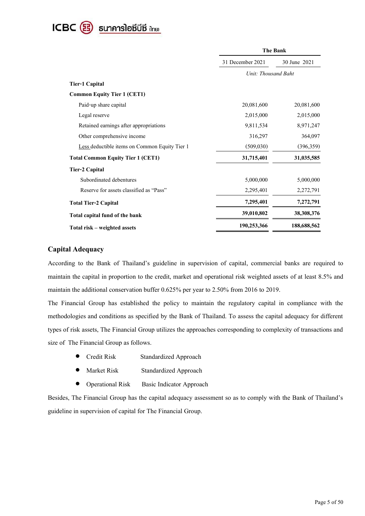

|                                               | <b>The Bank</b>     |              |  |
|-----------------------------------------------|---------------------|--------------|--|
|                                               | 31 December 2021    | 30 June 2021 |  |
|                                               | Unit: Thousand Baht |              |  |
| Tier-1 Capital                                |                     |              |  |
| <b>Common Equity Tier 1 (CET1)</b>            |                     |              |  |
| Paid-up share capital                         | 20,081,600          | 20,081,600   |  |
| Legal reserve                                 | 2,015,000           | 2,015,000    |  |
| Retained earnings after appropriations        | 9,811,534           | 8,971,247    |  |
| Other comprehensive income                    | 316,297             | 364,097      |  |
| Less deductible items on Common Equity Tier 1 | (509,030)           | (396, 359)   |  |
| <b>Total Common Equity Tier 1 (CET1)</b>      | 31,715,401          | 31,035,585   |  |
| <b>Tier-2 Capital</b>                         |                     |              |  |
| Subordinated debentures                       | 5,000,000           | 5,000,000    |  |
| Reserve for assets classified as "Pass"       | 2,295,401           | 2,272,791    |  |
| <b>Total Tier-2 Capital</b>                   | 7,295,401           | 7,272,791    |  |
| Total capital fund of the bank                | 39,010,802          | 38,308,376   |  |
| Total risk - weighted assets                  | 190,253,366         | 188,688,562  |  |

# **Capital Adequacy**

According to the Bank of Thailand's guideline in supervision of capital, commercial banks are required to maintain the capital in proportion to the credit, market and operational risk weighted assets of at least 8.5% and maintain the additional conservation buffer 0.625% per year to 2.50% from 2016 to 2019.

The Financial Group has established the policy to maintain the regulatory capital in compliance with the methodologies and conditions as specified by the Bank of Thailand. To assess the capital adequacy for different types of risk assets, The Financial Group utilizes the approaches corresponding to complexity of transactions and size of The Financial Group as follows.

- Credit Risk Standardized Approach
- Market Risk Standardized Approach
- **•** Operational Risk Basic Indicator Approach

Besides, The Financial Group has the capital adequacy assessment so as to comply with the Bank of Thailand's guideline in supervision of capital for The Financial Group.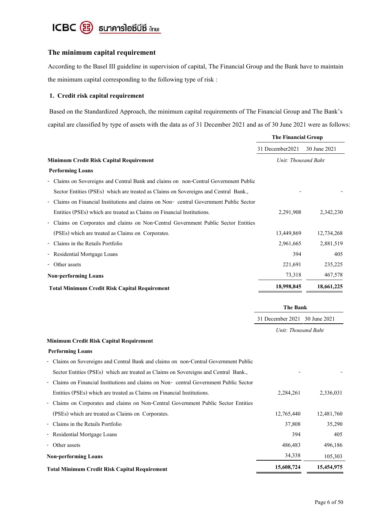

# **The minimum capital requirement**

According to the Basel III guideline in supervision of capital, The Financial Group and the Bank have to maintain the minimum capital corresponding to the following type of risk :

## **1. Credit risk capital requirement**

Based on the Standardized Approach, the minimum capital requirements of The Financial Group and The Bank's capital are classified by type of assets with the data as of 31 December 2021 and as of 30 June 2021 were as follows:

|                                                                                       | <b>The Financial Group</b>    |              |  |
|---------------------------------------------------------------------------------------|-------------------------------|--------------|--|
|                                                                                       | 31 December 2021              | 30 June 2021 |  |
| Minimum Credit Risk Capital Requirement                                               | Unit: Thousand Baht           |              |  |
| <b>Performing Loans</b>                                                               |                               |              |  |
| Claims on Sovereigns and Central Bank and claims on non-Central Government Public     |                               |              |  |
| Sector Entities (PSEs) which are treated as Claims on Sovereigns and Central Bank.,   |                               |              |  |
| Claims on Financial Institutions and claims on Non-central Government Public Sector   |                               |              |  |
| Entities (PSEs) which are treated as Claims on Financial Institutions.                | 2,291,908                     | 2,342,230    |  |
| Claims on Corporates and claims on Non-Central Government Public Sector Entities      |                               |              |  |
| (PSEs) which are treated as Claims on Corporates.                                     | 13,449,869                    | 12,734,268   |  |
| Claims in the Retails Portfolio                                                       | 2,961,665                     | 2,881,519    |  |
| Residential Mortgage Loans                                                            | 394                           | 405          |  |
| Other assets                                                                          | 221,691                       | 235,225      |  |
| <b>Non-performing Loans</b>                                                           | 73,318                        | 467,578      |  |
| <b>Total Minimum Credit Risk Capital Requirement</b>                                  | 18,998,845                    | 18,661,225   |  |
|                                                                                       | <b>The Bank</b>               |              |  |
|                                                                                       | 31 December 2021 30 June 2021 |              |  |
|                                                                                       | Unit: Thousand Baht           |              |  |
| Minimum Credit Risk Capital Requirement                                               |                               |              |  |
| <b>Performing Loans</b>                                                               |                               |              |  |
| - Claims on Sovereigns and Central Bank and claims on non-Central Government Public   |                               |              |  |
| Sector Entities (PSEs) which are treated as Claims on Sovereigns and Central Bank.,   |                               |              |  |
| - Claims on Financial Institutions and claims on Non-eentral Government Public Sector |                               |              |  |
| Entities (PSEs) which are treated as Claims on Financial Institutions.                | 2,284,261                     | 2,336,031    |  |
| - Claims on Corporates and claims on Non-Central Government Public Sector Entities    |                               |              |  |
| (PSEs) which are treated as Claims on Corporates.                                     | 12,765,440                    | 12,481,760   |  |
| Claims in the Retails Portfolio<br>$\overline{\phantom{0}}$                           | 37,808                        | 35,290       |  |
| Residential Mortgage Loans                                                            | 394                           | 405          |  |
|                                                                                       |                               | 496,186      |  |
| Other assets                                                                          | 486,483                       |              |  |
| <b>Non-performing Loans</b>                                                           | 34,338                        | 105,303      |  |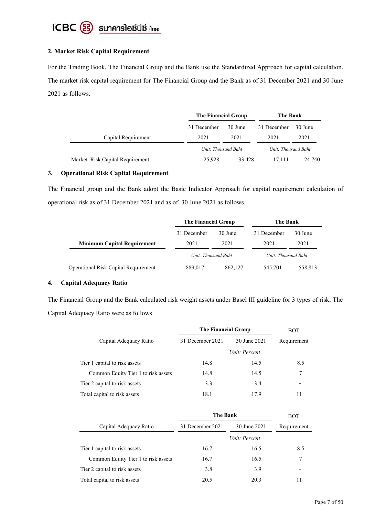

## **2. Market Risk Capital Requirement**

For the Trading Book, The Financial Group and the Bank use the Standardized Approach for capital calculation. The market risk capital requirement for The Financial Group and the Bank as of 31 December 2021 and 30 June 2021 as follows.

|                                 | The Financial Group |         | The Bank            |         |
|---------------------------------|---------------------|---------|---------------------|---------|
|                                 | 31 December         | 30 June | 31 December         | 30 June |
| Capital Requirement             | 2021                | 2021    | 2021                | 2021    |
|                                 | Unit: Thousand Baht |         | Unit: Thousand Baht |         |
| Market Risk Capital Requirement | 25,928              | 33,428  | 17,111              | 24,740  |

#### **3. Operational Risk Capital Requirement**

The Financial group and the Bank adopt the Basic Indicator Approach for capital requirement calculation of operational risk as of 31 December 2021 and as of 30 June 2021 as follows.

|                                             |                     | The Financial Group |                     | The Bank |  |
|---------------------------------------------|---------------------|---------------------|---------------------|----------|--|
|                                             | 31 December         | 30 June             | 31 December         | 30 June  |  |
| <b>Minimum Capital Requirement</b>          | 2021                | 2021                | 2021                | 2021     |  |
|                                             | Unit: Thousand Baht |                     | Unit: Thousand Baht |          |  |
| <b>Operational Risk Capital Requirement</b> | 889,017             | 862,127             | 545,701             | 558,813  |  |

#### **4. Capital Adequacy Ratio**

The Financial Group and the Bank calculated risk weight assets under Basel III guideline for 3 types of risk, The Capital Adequacy Ratio were as follows

|                                     | The Financial Group |               | BOT         |  |
|-------------------------------------|---------------------|---------------|-------------|--|
| Capital Adequacy Ratio              | 31 December 2021    | 30 June 2021  | Requirement |  |
|                                     |                     | Unit: Percent |             |  |
| Tier 1 capital to risk assets       | 14.8                | 14.5          | 8.5         |  |
| Common Equity Tier 1 to risk assets | 14.8                | 14.5          | 7           |  |
| Tier 2 capital to risk assets       | 3.3                 | 3.4           |             |  |
| Total capital to risk assets        | 18.1                | 17.9          |             |  |

|                                     | The Bank         |               | <b>BOT</b>  |  |
|-------------------------------------|------------------|---------------|-------------|--|
| Capital Adequacy Ratio              | 31 December 2021 | 30 June 2021  | Requirement |  |
|                                     |                  | Unit: Percent |             |  |
| Tier 1 capital to risk assets       | 16.7             | 16.5          | 8.5         |  |
| Common Equity Tier 1 to risk assets | 16.7             | 16.5          | 7           |  |
| Tier 2 capital to risk assets       | 3.8              | 3.9           |             |  |
| Total capital to risk assets        | 20.5             | 20.3          | 11          |  |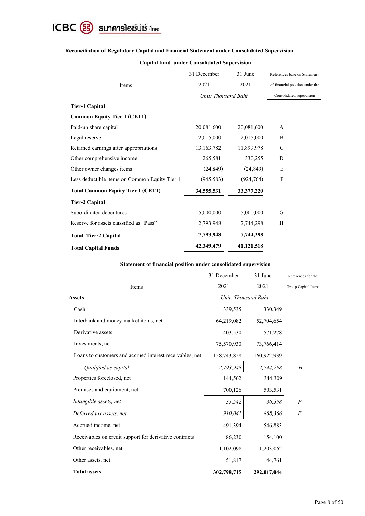

|                                               | 31 December         | 31 June      | References base on Statement    |
|-----------------------------------------------|---------------------|--------------|---------------------------------|
| Items                                         | 2021                | 2021         | of financial position under the |
|                                               | Unit: Thousand Baht |              | Consolidated supervision        |
| <b>Tier-1 Capital</b>                         |                     |              |                                 |
| <b>Common Equity Tier 1 (CET1)</b>            |                     |              |                                 |
| Paid-up share capital                         | 20,081,600          | 20,081,600   | A                               |
| Legal reserve                                 | 2,015,000           | 2,015,000    | B                               |
| Retained earnings after appropriations        | 13, 163, 782        | 11,899,978   | $\mathcal{C}$                   |
| Other comprehensive income                    | 265,581             | 330,255      | D                               |
| Other owner changes items                     | (24, 849)           | (24, 849)    | E                               |
| Less deductible items on Common Equity Tier 1 | (945, 583)          | (924, 764)   | $\mathbf{F}$                    |
| <b>Total Common Equity Tier 1 (CET1)</b>      | 34,555,531          | 33, 377, 220 |                                 |
| Tier-2 Capital                                |                     |              |                                 |
| Subordinated debentures                       | 5,000,000           | 5,000,000    | G                               |
| Reserve for assets classified as "Pass"       | 2,793,948           | 2,744,298    | Н                               |
| <b>Total Tier-2 Capital</b>                   | 7,793,948           | 7,744,298    |                                 |
| <b>Total Capital Funds</b>                    | 42,349,479          | 41,121,518   |                                 |

# **Reconciliation of Regulatory Capital and Financial Statement under Consolidated Supervision**

|  |  | <b>Capital fund under Consolidated Supervision</b> |  |
|--|--|----------------------------------------------------|--|
|--|--|----------------------------------------------------|--|

## **Statement of financial position under consolidated supervision**

|                                                          | 31 December         | 31 June     | References for the  |
|----------------------------------------------------------|---------------------|-------------|---------------------|
| Items                                                    | 2021                | 2021        | Group Capital Items |
| <b>Assets</b>                                            | Unit: Thousand Baht |             |                     |
| Cash                                                     | 339,535             | 330,349     |                     |
| Interbank and money market items, net                    | 64,219,082          | 52,704,654  |                     |
| Derivative assets                                        | 403,530             | 571,278     |                     |
| Investments, net                                         | 75,570,930          | 73,766,414  |                     |
| Loans to customers and accrued interest receivables, net | 158,743,828         | 160,922,939 |                     |
| Qualified as capital                                     | 2,793,948           | 2,744,298   | H                   |
| Properties foreclosed, net                               | 144,562             | 344,309     |                     |
| Premises and equipment, net                              | 700,126             | 503,531     |                     |
| Intangible assets, net                                   | 35,542              | 36,398      | $\boldsymbol{F}$    |
| Deferred tax assets, net                                 | 910,041             | 888,366     | $\boldsymbol{F}$    |
| Accrued income, net                                      | 491,394             | 546,883     |                     |
| Receivables on credit support for derivative contracts   | 86,230              | 154,100     |                     |
| Other receivables, net                                   | 1,102,098           | 1,203,062   |                     |
| Other assets, net                                        | 51,817              | 44,761      |                     |
| <b>Total assets</b>                                      | 302,798,715         | 292,017,044 |                     |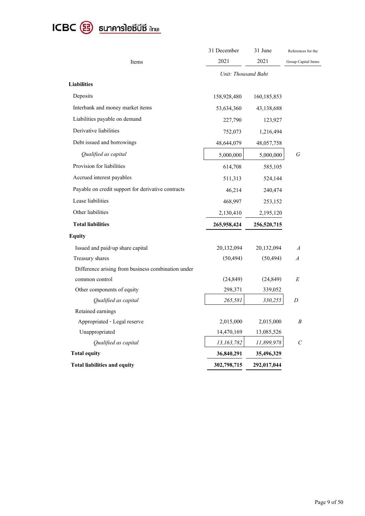# ICBC <sup>3</sup> <sub>sunnnslaชีบีชี <sub>น้ำยะ</sub></sub>

|                                                    | 31 December         | 31 June     | References for the  |
|----------------------------------------------------|---------------------|-------------|---------------------|
| Items                                              | 2021                | 2021        | Group Capital Items |
|                                                    | Unit: Thousand Baht |             |                     |
| <b>Liabilities</b>                                 |                     |             |                     |
| Deposits                                           | 158,928,480         | 160,185,853 |                     |
| Interbank and money market items                   | 53,634,360          | 43,138,688  |                     |
| Liabilities payable on demand                      | 227,790             | 123,927     |                     |
| Derivative liabilities                             | 752,073             | 1,216,494   |                     |
| Debt issued and borrowings                         | 48,644,079          | 48,057,758  |                     |
| Qualified as capital                               | 5,000,000           | 5,000,000   | G                   |
| Provision for liabilities                          | 614,708             | 585,105     |                     |
| Accrued interest payables                          | 511,313             | 524,144     |                     |
| Payable on credit support for derivative contracts | 46,214              | 240,474     |                     |
| Lease liabilities                                  | 468,997             | 253,152     |                     |
| Other liabilities                                  | 2,130,410           | 2,195,120   |                     |
| <b>Total liabilities</b>                           | 265,958,424         | 256,520,715 |                     |
| <b>Equity</b>                                      |                     |             |                     |
| Issued and paid-up share capital                   | 20,132,094          | 20,132,094  | $\boldsymbol{A}$    |
| Treasury shares                                    | (50, 494)           | (50, 494)   | $\boldsymbol{A}$    |
| Difference arising from business combination under |                     |             |                     |
| common control                                     | (24, 849)           | (24, 849)   | E                   |
| Other components of equity                         | 298,371             | 339,052     |                     |
| Qualified as capital                               | 265,581             | 330,255     | D                   |
| Retained earnings                                  |                     |             |                     |
| Appropriated - Legal reserve                       | 2,015,000           | 2,015,000   | $\boldsymbol{B}$    |
| Unappropriated                                     | 14,470,169          | 13,085,526  |                     |
| Qualified as capital                               | 13,163,782          | 11,899,978  | $\cal C$            |
| <b>Total equity</b>                                | 36,840,291          | 35,496,329  |                     |
| <b>Total liabilities and equity</b>                | 302,798,715         | 292,017,044 |                     |
|                                                    |                     |             |                     |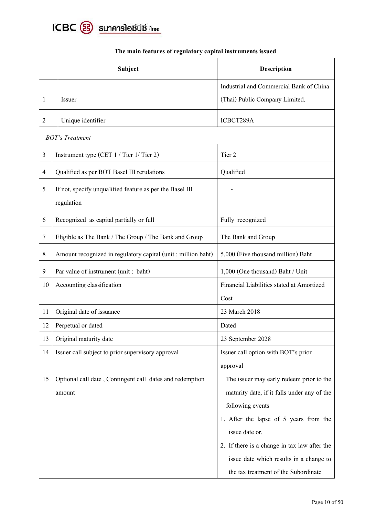

|                | Subject                                                                | <b>Description</b>                                |
|----------------|------------------------------------------------------------------------|---------------------------------------------------|
|                |                                                                        | Industrial and Commercial Bank of China           |
| 1              | Issuer                                                                 | (Thai) Public Company Limited.                    |
| $\overline{2}$ | Unique identifier                                                      | ICBCT289A                                         |
|                | <b>BOT's Treatment</b>                                                 |                                                   |
| 3              | Instrument type (CET 1 / Tier 1/ Tier 2)                               | Tier 2                                            |
| 4              | Qualified as per BOT Basel III rerulations                             | Qualified                                         |
| 5              | If not, specify unqualified feature as per the Basel III<br>regulation |                                                   |
| 6              | Recognized as capital partially or full                                | Fully recognized                                  |
| 7              | Eligible as The Bank / The Group / The Bank and Group                  | The Bank and Group                                |
| 8              | Amount recognized in regulatory capital (unit : million baht)          | 5,000 (Five thousand million) Baht                |
| 9              | Par value of instrument (unit : baht)                                  | 1,000 (One thousand) Baht / Unit                  |
| 10             | Accounting classification                                              | Financial Liabilities stated at Amortized<br>Cost |
| 11             | Original date of issuance                                              | 23 March 2018                                     |
| 12             | Perpetual or dated                                                     | Dated                                             |
| 13             | Original maturity date                                                 | 23 September 2028                                 |
| 14             | Issuer call subject to prior supervisory approval                      | Issuer call option with BOT's prior               |
|                |                                                                        | approval                                          |
| 15             | Optional call date, Contingent call dates and redemption               | The issuer may early redeem prior to the          |
|                | amount                                                                 | maturity date, if it falls under any of the       |
|                |                                                                        | following events                                  |
|                |                                                                        | 1. After the lapse of 5 years from the            |
|                |                                                                        | issue date or.                                    |
|                |                                                                        | 2. If there is a change in tax law after the      |
|                |                                                                        | issue date which results in a change to           |
|                |                                                                        | the tax treatment of the Subordinate              |

# **The main features of regulatory capital instruments issued**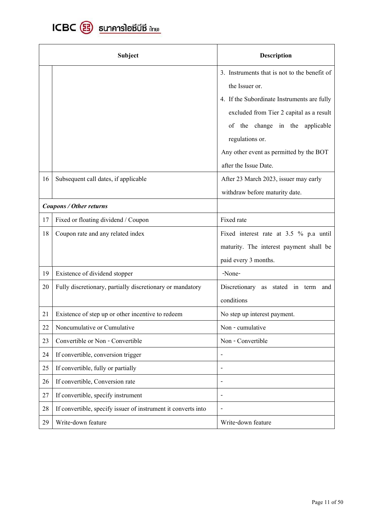

|    | <b>Subject</b>                                                | <b>Description</b>                           |
|----|---------------------------------------------------------------|----------------------------------------------|
|    |                                                               | 3. Instruments that is not to the benefit of |
|    |                                                               | the Issuer or.                               |
|    |                                                               | 4. If the Subordinate Instruments are fully  |
|    |                                                               | excluded from Tier 2 capital as a result     |
|    |                                                               | of the change in the applicable              |
|    |                                                               | regulations or.                              |
|    |                                                               | Any other event as permitted by the BOT      |
|    |                                                               | after the Issue Date.                        |
| 16 | Subsequent call dates, if applicable                          | After 23 March 2023, issuer may early        |
|    |                                                               | withdraw before maturity date.               |
|    | <b>Coupons / Other returns</b>                                |                                              |
| 17 | Fixed or floating dividend / Coupon                           | Fixed rate                                   |
| 18 | Coupon rate and any related index                             | Fixed interest rate at 3.5 % p.a until       |
|    |                                                               | maturity. The interest payment shall be      |
|    |                                                               | paid every 3 months.                         |
| 19 | Existence of dividend stopper                                 | -None-                                       |
| 20 | Fully discretionary, partially discretionary or mandatory     | Discretionary as stated in term<br>and       |
|    |                                                               | conditions                                   |
| 21 | Existence of step up or other incentive to redeem             | No step up interest payment.                 |
| 22 | Noncumulative or Cumulative                                   | Non - cumulative                             |
| 23 | Convertible or Non - Convertible                              | Non - Convertible                            |
| 24 | If convertible, conversion trigger                            | $\overline{\phantom{a}}$                     |
| 25 | If convertible, fully or partially                            | $\overline{\phantom{a}}$                     |
| 26 | If convertible, Conversion rate                               | $\overline{\phantom{a}}$                     |
| 27 | If convertible, specify instrument                            | $\overline{\phantom{a}}$                     |
| 28 | If convertible, specify issuer of instrument it converts into | $\qquad \qquad \blacksquare$                 |
| 29 | Write-down feature                                            | Write-down feature                           |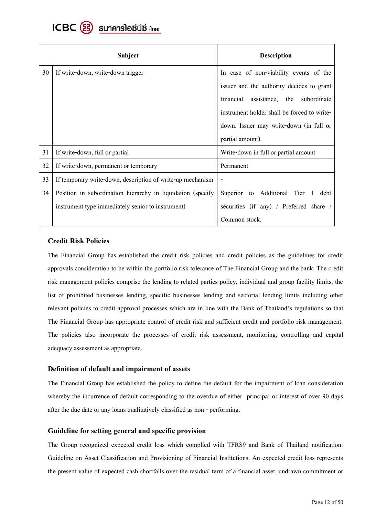

|    | <b>Subject</b>                                              | <b>Description</b>                             |
|----|-------------------------------------------------------------|------------------------------------------------|
| 30 | If write-down, write-down trigger                           | In case of non-viability events of the         |
|    |                                                             | issuer and the authority decides to grant      |
|    |                                                             | financial<br>assistance,<br>the<br>subordinate |
|    |                                                             | instrument holder shall be forced to write-    |
|    |                                                             | down. Issuer may write-down (in full or        |
|    |                                                             | partial amount).                               |
| 31 | If write-down, full or partial                              | Write-down in full or partial amount           |
| 32 | If write-down, permanent or temporary                       | Permanent                                      |
| 33 | If temporary write-down, description of write-up mechanism  |                                                |
| 34 | Position in subordination hierarchy in liquidation (specify | Superior to Additional Tier<br>debt<br>-1      |
|    | instrument type immediately senior to instrument)           | securities (if any) / Preferred share          |
|    |                                                             | Common stock.                                  |

# **Credit Risk Policies**

The Financial Group has established the credit risk policies and credit policies as the guidelines for credit approvals consideration to be within the portfolio risk tolerance of The Financial Group and the bank. The credit risk management policies comprise the lending to related parties policy, individual and group facility limits, the list of prohibited businesses lending, specific businesses lending and sectorial lending limits including other relevant policies to credit approval processes which are in line with the Bank of Thailand's regulations so that The Financial Group has appropriate control of credit risk and sufficient credit and portfolio risk management. The policies also incorporate the processes of credit risk assessment, monitoring, controlling and capital adequacy assessment as appropriate.

# **Definition of default and impairment of assets**

The Financial Group has established the policy to define the default for the impairment of loan consideration whereby the incurrence of default corresponding to the overdue of either principal or interest of over 90 days after the due date or any loans qualitatively classified as non - performing.

#### Guideline for setting general and specific provision

The Group recognized expected credit loss which complied with TFRS9 and Bank of Thailand notification: Guideline on Asset Classification and Provisioning of Financial Institutions. An expected credit loss represents the present value of expected cash shortfalls over the residual term of a financial asset, undrawn commitment or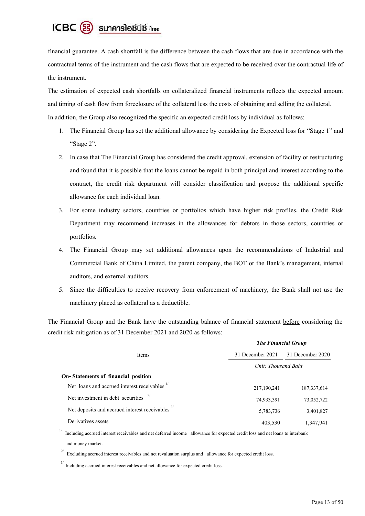# ICBC 3 ธนาคารโอซีบีซี inย

financial guarantee. A cash shortfall is the difference between the cash flows that are due in accordance with the contractual terms of the instrument and the cash flows that are expected to be received over the contractual life of the instrument.

The estimation of expected cash shortfalls on collateralized financial instruments reflects the expected amount and timing of cash flow from foreclosure of the collateral less the costs of obtaining and selling the collateral. In addition, the Group also recognized the specific an expected credit loss by individual as follows:

- 1. The Financial Group has set the additional allowance by considering the Expected loss for "Stage 1" and "Stage 2".
- 2. In case that The Financial Group has considered the credit approval, extension of facility or restructuring and found that it is possible that the loans cannot be repaid in both principal and interest according to the contract, the credit risk department will consider classification and propose the additional specific allowance for each individual loan.
- 3. For some industry sectors, countries or portfolios which have higher risk profiles, the Credit Risk Department may recommend increases in the allowances for debtors in those sectors, countries or portfolios.
- 4. The Financial Group may set additional allowances upon the recommendations of Industrial and Commercial Bank of China Limited, the parent company, the BOT or the Bank's management, internal auditors, and external auditors.
- 5. Since the difficulties to receive recovery from enforcement of machinery, the Bank shall not use the machinery placed as collateral as a deductible.

The Financial Group and the Bank have the outstanding balance of financial statement before considering the credit risk mitigation as of 31 December 2021 and 2020 as follows:

|                                                             | <b>The Financial Group</b> |                  |
|-------------------------------------------------------------|----------------------------|------------------|
| <b>Items</b>                                                | 31 December 2021           | 31 December 2020 |
|                                                             | Unit: Thousand Baht        |                  |
| On-Statements of financial position                         |                            |                  |
| Net loans and accrued interest receivables                  | 217,190,241                | 187, 337, 614    |
| Net investment in debt securities                           | 74,933,391                 | 73,052,722       |
| Net deposits and accrued interest receivables <sup>3/</sup> | 5,783,736                  | 3,401,827        |
| Derivatives assets                                          | 403,530                    | 1,347,941        |

 $1/$  Including accrued interest receivables and net deferred income allowance for expected credit loss and net loans to interbank and money market.

 2/ Excluding accrued interest receivables and net revaluation surplus and allowance for expected credit loss.

<sup>3/</sup> Including accrued interest receivables and net allowance for expected credit loss.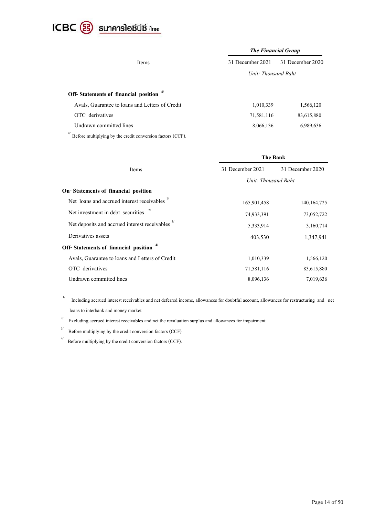

|                                                                                                                                                                                                                                                                                               | <b>The Financial Group</b> |                  |
|-----------------------------------------------------------------------------------------------------------------------------------------------------------------------------------------------------------------------------------------------------------------------------------------------|----------------------------|------------------|
| Items                                                                                                                                                                                                                                                                                         | 31 December 2021           | 31 December 2020 |
|                                                                                                                                                                                                                                                                                               | Unit: Thousand Baht        |                  |
| Off-Statements of financial position <sup>4/</sup>                                                                                                                                                                                                                                            |                            |                  |
| Avals, Guarantee to loans and Letters of Credit                                                                                                                                                                                                                                               | 1,010,339                  | 1,566,120        |
| OTC derivatives                                                                                                                                                                                                                                                                               | 71,581,116                 | 83,615,880       |
| Undrawn committed lines                                                                                                                                                                                                                                                                       | 8,066,136                  | 6,989,636        |
| $\frac{4}{5}$ p.c. $\frac{1}{11}$ 1, $\frac{1}{11}$ 1, $\frac{1}{11}$ 1, $\frac{1}{11}$ 1, $\frac{1}{11}$ 1, $\frac{1}{11}$ 1, $\frac{1}{11}$ 1, $\frac{1}{11}$ 1, $\frac{1}{11}$ 1, $\frac{1}{11}$ 1, $\frac{1}{11}$ 1, $\frac{1}{11}$ 1, $\frac{1}{11}$ 1, $\frac{1}{11}$ 1, $\frac{1}{11}$ |                            |                  |

Before multiplying by the credit conversion factors (CCF).

|                                                             |                     | The Bank         |  |  |
|-------------------------------------------------------------|---------------------|------------------|--|--|
| Items                                                       | 31 December 2021    | 31 December 2020 |  |  |
|                                                             | Unit: Thousand Baht |                  |  |  |
| On-Statements of financial position                         |                     |                  |  |  |
| Net loans and accrued interest receivables                  | 165,901,458         | 140, 164, 725    |  |  |
| Net investment in debt securities                           | 74,933,391          | 73,052,722       |  |  |
| Net deposits and accrued interest receivables <sup>3/</sup> | 5,333,914           | 3,160,714        |  |  |
| Derivatives assets                                          | 403,530             | 1,347,941        |  |  |
| Off-Statements of financial position                        |                     |                  |  |  |
| Avals, Guarantee to loans and Letters of Credit             | 1,010,339           | 1,566,120        |  |  |
| OTC derivatives                                             | 71,581,116          | 83,615,880       |  |  |
| Undrawn committed lines                                     | 8,096,136           | 7,019,636        |  |  |
|                                                             |                     |                  |  |  |

 1/ Including accrued interest receivables and net deferred income, allowances for doubtful account, allowances for restructuring and net loans to interbank and money market

2/ Excluding accrued interest receivables and net the revaluation surplus and allowances for impairment.

3/ Before multiplying by the credit conversion factors (CCF)

4/ Before multiplying by the credit conversion factors (CCF).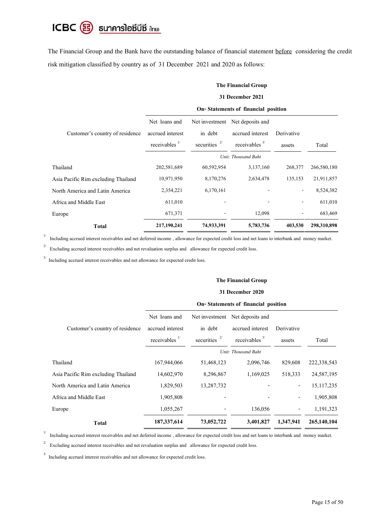# ICBC <sup>3</sup> sunคารโอซีบีซี ilnย)

The Financial Group and the Bank have the outstanding balance of financial statement before considering the credit risk mitigation classified by country as of 31 December 2021 and 2020 as follows:

#### **The Financial Group**

### **31 December2021**

#### **On-Statements of financial position**

|                                     | Net loans and             | Net investment | Net deposits and    |                |             |
|-------------------------------------|---------------------------|----------------|---------------------|----------------|-------------|
| Customer's country of residence     | accrued interest          | in debt        | accrued interest    | Derivative     |             |
|                                     | receivables $\frac{1}{1}$ | securities     | receivables $3/$    | assets         | Total       |
|                                     |                           |                | Unit: Thousand Baht |                |             |
| Thailand                            | 202,581,689               | 60,592,954     | 3,137,160           | 268,377        | 266,580,180 |
| Asia Pacific Rim excluding Thailand | 10,971,950                | 8,170,276      | 2,634,478           | 135,153        | 21,911,857  |
| North America and Latin America     | 2,354,221                 | 6,170,161      |                     | $\overline{a}$ | 8,524,382   |
| Africa and Middle East              | 611,010                   |                |                     | ۰              | 611,010     |
| Europe                              | 671,371                   |                | 12,098              | ۰              | 683,469     |
| <b>Total</b>                        | 217,190,241               | 74,933,391     | 5,783,736           | 403,530        | 298,310,898 |

<sup>1/</sup> Including accrued interest receivables and net deferred income, allowance for expected credit loss and net loans to interbank and money market.

2/ Excluding accrued interest receivables and net revaluation surplus and allowance for expected credit loss.

<sup>3/</sup> Including accrued interest receivables and net allowance for expected credit loss.

#### **The Financial Group**

#### **31 December2020**

| On-Statements of financial position |  |  |  |  |  |
|-------------------------------------|--|--|--|--|--|
|-------------------------------------|--|--|--|--|--|

|                                     | Net loans and             | Net investment  | Net deposits and    |                          |              |
|-------------------------------------|---------------------------|-----------------|---------------------|--------------------------|--------------|
| Customer's country of residence     | accrued interest          | in debt         | accrued interest    | Derivative               |              |
|                                     | receivables $\frac{1}{1}$ | securities $2/$ | receivables $3/$    | assets                   | Total        |
|                                     |                           |                 | Unit: Thousand Baht |                          |              |
| Thailand                            | 167,944,066               | 51,468,123      | 2,096,746           | 829,608                  | 222,338,543  |
| Asia Pacific Rim excluding Thailand | 14,602,970                | 8,296,867       | 1,169,025           | 518,333                  | 24,587,195   |
| North America and Latin America     | 1,829,503                 | 13,287,732      |                     | $\overline{\phantom{a}}$ | 15, 117, 235 |
| Africa and Middle East              | 1,905,808                 |                 |                     |                          | 1,905,808    |
| Europe                              | 1,055,267                 |                 | 136,056             |                          | 1,191,323    |
| <b>Total</b>                        | 187, 337, 614             | 73,052,722      | 3,401,827           | 1,347,941                | 265,140,104  |

<sup>1/</sup> Including accrued interest receivables and net deferred income, allowance for expected credit loss and net loans to interbank and money market.

2/ Excluding accrued interest receivables and net revaluation surplus and allowance for expected credit loss.

<sup>3/</sup> Including accrued interest receivables and net allowance for expected credit loss.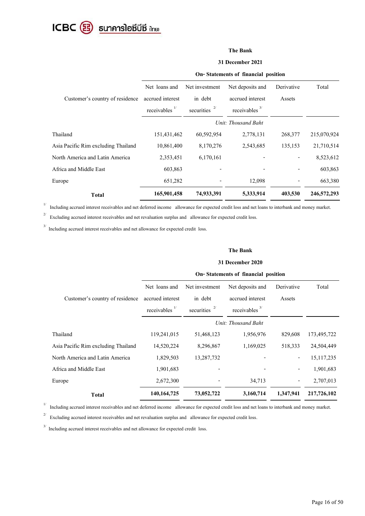

#### **The Bank**

#### **31 December2021**

|                                     | On-Statements of financial position |                 |                  |            |             |
|-------------------------------------|-------------------------------------|-----------------|------------------|------------|-------------|
|                                     | Net loans and                       | Net investment  | Net deposits and | Derivative | Total       |
| Customer's country of residence     | accrued interest                    | in debt         | accrued interest | Assets     |             |
|                                     | receivables $\frac{1}{1}$           | securities $2/$ | receivables $3/$ |            |             |
|                                     | Unit: Thousand Baht                 |                 |                  |            |             |
| Thailand                            | 151,431,462                         | 60,592,954      | 2,778,131        | 268,377    | 215,070,924 |
| Asia Pacific Rim excluding Thailand | 10,861,400                          | 8,170,276       | 2,543,685        | 135,153    | 21,710,514  |
| North America and Latin America     | 2,353,451                           | 6,170,161       |                  |            | 8,523,612   |
| Africa and Middle East              | 603,863                             |                 |                  |            | 603,863     |
| Europe                              | 651,282                             |                 | 12,098           |            | 663,380     |
| <b>Total</b>                        | 165,901,458                         | 74,933,391      | 5,333,914        | 403,530    | 246,572,293 |

 $1/\,$ Including accrued interest receivables and net deferred income allowance for expected credit loss and net loans to interbank and money market.

2/ Excluding accrued interest receivables and net revaluation surplus and allowance for expected credit loss.

<sup>3/</sup> Including accrued interest receivables and net allowance for expected credit loss.

#### **The Bank**

#### **31 December2020**

### **On-Statements of financial position**

|                                     | Net loans and             | Net investment     | Net deposits and    | Derivative               | Total        |
|-------------------------------------|---------------------------|--------------------|---------------------|--------------------------|--------------|
| Customer's country of residence     | accrued interest          | in debt            | accrued interest    | Assets                   |              |
|                                     | receivables $\frac{1}{1}$ | securities $2^{7}$ | receivables $3/$    |                          |              |
|                                     |                           |                    | Unit: Thousand Baht |                          |              |
| Thailand                            | 119,241,015               | 51,468,123         | 1,956,976           | 829,608                  | 173,495,722  |
| Asia Pacific Rim excluding Thailand | 14,520,224                | 8,296,867          | 1,169,025           | 518,333                  | 24,504,449   |
| North America and Latin America     | 1,829,503                 | 13,287,732         |                     | $\overline{\phantom{a}}$ | 15, 117, 235 |
| Africa and Middle East              | 1,901,683                 |                    |                     | $\overline{\phantom{a}}$ | 1,901,683    |
| Europe                              | 2,672,300                 |                    | 34,713              | -                        | 2,707,013    |
| Total                               | 140, 164, 725             | 73,052,722         | 3,160,714           | 1,347,941                | 217,726,102  |

<sup>1/</sup> Including accrued interest receivables and net deferred income allowance for expected credit loss and net loans to interbank and money market.

 $2/\,$ Excluding accrued interest receivables and net revaluation surplus and allowance for expected credit loss.

<sup>3/</sup> Including accrued interest receivables and net allowance for expected credit loss.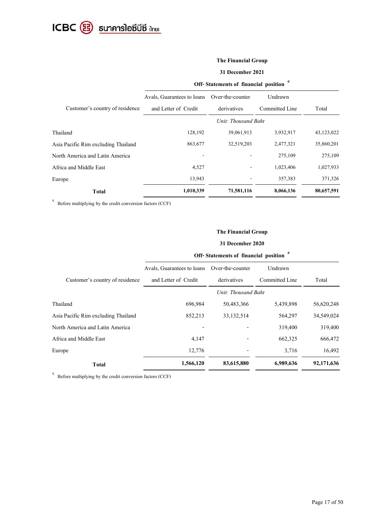

# **The Financial Group**

#### **31 December 2021**

|                                     | Off-Statements of financial position |                  |                |            |  |
|-------------------------------------|--------------------------------------|------------------|----------------|------------|--|
|                                     | Avals, Guarantees to loans           | Over-the-counter | Undrawn        |            |  |
| Customer's country of residence     | and Letter of Credit                 | derivatives      | Committed Line | Total      |  |
|                                     | Unit: Thousand Baht                  |                  |                |            |  |
| Thailand                            | 128,192                              | 39,061,913       | 3,932,917      | 43,123,022 |  |
| Asia Pacific Rim excluding Thailand | 863,677                              | 32,519,203       | 2,477,321      | 35,860,201 |  |
| North America and Latin America     |                                      |                  | 275,109        | 275,109    |  |
| Africa and Middle East              | 4,527                                |                  | 1,023,406      | 1,027,933  |  |
| Europe                              | 13,943                               |                  | 357,383        | 371,326    |  |
| <b>Total</b>                        | 1,010,339                            | 71,581,116       | 8,066,136      | 80,657,591 |  |

 $4/$  Before multiplying by the credit conversion factors (CCF)

# **The Financial Group**

## **31 December 2020**

| Off-Statements of financial position |  |  |  |
|--------------------------------------|--|--|--|
|--------------------------------------|--|--|--|

| Avals, Guarantees to loans<br>and Letter of Credit | Over-the-counter<br>derivatives | Undrawn        |                     |
|----------------------------------------------------|---------------------------------|----------------|---------------------|
|                                                    |                                 |                |                     |
|                                                    |                                 | Committed Line | Total               |
|                                                    |                                 |                |                     |
| 696,984                                            | 50,483,366                      | 5,439,898      | 56,620,248          |
| 852,213                                            | 33, 132, 514                    | 564,297        | 34,549,024          |
|                                                    |                                 | 319,400        | 319,400             |
| 4,147                                              |                                 | 662,325        | 666,472             |
| 12,776                                             |                                 | 3,716          | 16,492              |
| 1,566,120                                          | 83,615,880                      | 6,989,636      | 92,171,636          |
|                                                    |                                 |                | Unit: Thousand Baht |

 $4/$  Before multiplying by the credit conversion factors (CCF)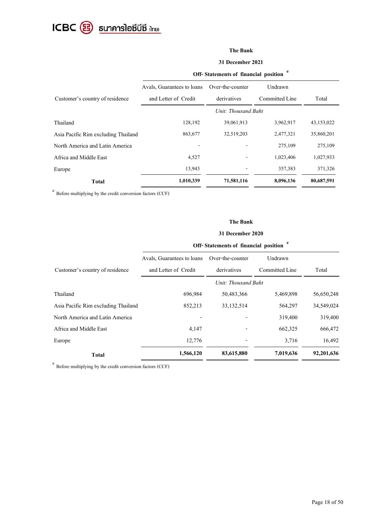

# **The Bank**

#### **31 December2021**

|                                     | Off-Statements of financial position |                  |                |            |  |  |
|-------------------------------------|--------------------------------------|------------------|----------------|------------|--|--|
|                                     | Avals, Guarantees to loans           | Over-the-counter | Undrawn        |            |  |  |
| Customer's country of residence     | and Letter of Credit                 | derivatives      | Committed Line | Total      |  |  |
|                                     | Unit: Thousand Baht                  |                  |                |            |  |  |
| Thailand                            | 128,192                              | 39,061,913       | 3,962,917      | 43,153,022 |  |  |
| Asia Pacific Rim excluding Thailand | 863,677                              | 32,519,203       | 2,477,321      | 35,860,201 |  |  |
| North America and Latin America     |                                      |                  | 275,109        | 275,109    |  |  |
| Africa and Middle East              | 4,527                                |                  | 1,023,406      | 1,027,933  |  |  |
| Europe                              | 13,943                               |                  | 357,383        | 371,326    |  |  |
| <b>Total</b>                        | 1,010,339                            | 71,581,116       | 8,096,136      | 80,687,591 |  |  |

4/ Before multiplying by the credit conversion factors (CCF)

### **The Bank**

#### **31 December2020**

# **Off-Statements of financial position 4/**

|                                     | Avals, Guarantees to loans | Over-the-counter    | Undrawn        |            |
|-------------------------------------|----------------------------|---------------------|----------------|------------|
| Customer's country of residence     | and Letter of Credit       | derivatives         | Committed Line | Total      |
|                                     |                            | Unit: Thousand Baht |                |            |
| Thailand                            | 696,984                    | 50,483,366          | 5,469,898      | 56,650,248 |
| Asia Pacific Rim excluding Thailand | 852,213                    | 33, 132, 514        | 564,297        | 34,549,024 |
| North America and Latin America     |                            |                     | 319,400        | 319,400    |
| Africa and Middle East              | 4,147                      |                     | 662,325        | 666,472    |
| Europe                              | 12,776                     |                     | 3,716          | 16,492     |
| <b>Total</b>                        | 1,566,120                  | 83,615,880          | 7,019,636      | 92,201,636 |

4/ Before multiplying by the credit conversion factors (CCF)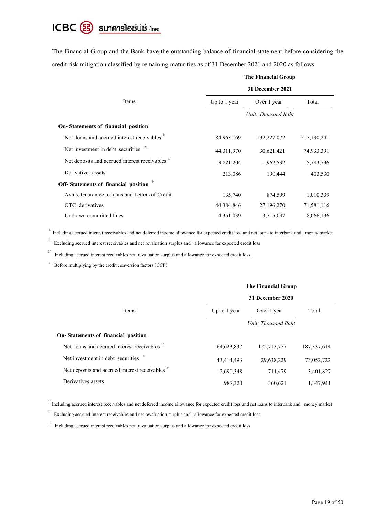# ICBC 3 ธนาคารโอซีบีซี inย

The Financial Group and the Bank have the outstanding balance of financial statement before considering the credit risk mitigation classified by remaining maturities as of 31 December 2021 and 2020 as follows:

|                                                             | 31 December 2021 |                     |             |  |
|-------------------------------------------------------------|------------------|---------------------|-------------|--|
| Items                                                       | Up to 1 year     | Over 1 year         | Total       |  |
|                                                             |                  | Unit: Thousand Baht |             |  |
| On-Statements of financial position                         |                  |                     |             |  |
| Net loans and accrued interest receivables                  | 84,963,169       | 132,227,072         | 217,190,241 |  |
| Net investment in debt securities                           | 44, 311, 970     | 30,621,421          | 74,933,391  |  |
| Net deposits and accrued interest receivables <sup>3/</sup> | 3,821,204        | 1,962,532           | 5,783,736   |  |
| Derivatives assets                                          | 213,086          | 190,444             | 403,530     |  |
| Off-Statements of financial position                        |                  |                     |             |  |
| Avals, Guarantee to loans and Letters of Credit             | 135,740          | 874,599             | 1,010,339   |  |
| OTC derivatives                                             | 44,384,846       | 27,196,270          | 71,581,116  |  |
| Undrawn committed lines                                     | 4,351,039        | 3,715,097           | 8,066,136   |  |

# **The Financial Group**

<sup>1/</sup> Including accrued interest receivables and net deferred income, allowance for expected credit loss and net loans to interbank and money market

2/ Excluding accrued interest receivables and net revaluation surplus and allowance for expected credit loss

3/ Including accrued interest receivables net revaluation surplus and allowance for expected credit loss.

Before multiplying by the credit conversion factors (CCF)

|                                                             | The Financial Group |                     |               |  |
|-------------------------------------------------------------|---------------------|---------------------|---------------|--|
|                                                             |                     | 31 December 2020    |               |  |
| Items                                                       | Up to 1 year        | Over 1 year         | Total         |  |
|                                                             |                     | Unit: Thousand Baht |               |  |
| On-Statements of financial position                         |                     |                     |               |  |
| Net loans and accrued interest receivables                  | 64, 623, 837        | 122,713,777         | 187, 337, 614 |  |
| Net investment in debt securities                           | 43,414,493          | 29,638,229          | 73,052,722    |  |
| Net deposits and accrued interest receivables <sup>3/</sup> | 2,690,348           | 711,479             | 3,401,827     |  |
| Derivatives assets                                          | 987,320             | 360,621             | 1,347,941     |  |

<sup>1/</sup> Including accrued interest receivables and net deferred income, allowance for expected credit loss and net loans to interbank and money market

2/ Excluding accrued interest receivables and net revaluation surplus and allowance for expected credit loss

3/ Including accrued interest receivables net revaluation surplus and allowance for expected credit loss.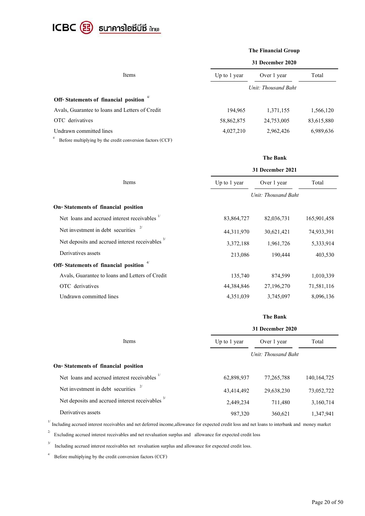

|                                                                 |                     | <b>The Financial Group</b> |            |  |  |
|-----------------------------------------------------------------|---------------------|----------------------------|------------|--|--|
|                                                                 |                     | 31 December 2020           |            |  |  |
| Items                                                           | Up to 1 year        | Over 1 year                | Total      |  |  |
|                                                                 | Unit: Thousand Baht |                            |            |  |  |
| Off-Statements of financial position                            |                     |                            |            |  |  |
| Avals, Guarantee to loans and Letters of Credit                 | 194,965             | 1,371,155                  | 1,566,120  |  |  |
| OTC derivatives                                                 | 58,862,875          | 24,753,005                 | 83,615,880 |  |  |
| Undrawn committed lines                                         | 4,027,210           | 2,962,426                  | 6,989,636  |  |  |
| 4/<br>Before multiplying by the credit conversion factors (CCF) |                     |                            |            |  |  |

#### **The Bank**

|                                                             | 31 December 2021 |                     |             |  |
|-------------------------------------------------------------|------------------|---------------------|-------------|--|
| Items                                                       | Up to $1$ year   | Over 1 year         | Total       |  |
|                                                             |                  | Unit: Thousand Baht |             |  |
| On-Statements of financial position                         |                  |                     |             |  |
| Net loans and accrued interest receivables                  | 83,864,727       | 82,036,731          | 165,901,458 |  |
| Net investment in debt securities                           | 44,311,970       | 30,621,421          | 74,933,391  |  |
| Net deposits and accrued interest receivables <sup>3/</sup> | 3,372,188        | 1,961,726           | 5,333,914   |  |
| Derivatives assets                                          | 213,086          | 190,444             | 403,530     |  |
| Off-Statements of financial position                        |                  |                     |             |  |
| Avals, Guarantee to loans and Letters of Credit             | 135,740          | 874,599             | 1,010,339   |  |
| OTC derivatives                                             | 44,384,846       | 27,196,270          | 71,581,116  |  |
| Undrawn committed lines                                     | 4,351,039        | 3,745,097           | 8,096,136   |  |

# **The Bank**

|                                                             | 31 December 2020    |              |               |  |
|-------------------------------------------------------------|---------------------|--------------|---------------|--|
| Items                                                       | Up to 1 year        | Over 1 year  | Total         |  |
|                                                             | Unit: Thousand Baht |              |               |  |
| On-Statements of financial position                         |                     |              |               |  |
| Net loans and accrued interest receivables                  | 62,898,937          | 77, 265, 788 | 140, 164, 725 |  |
| Net investment in debt securities                           | 43,414,492          | 29,638,230   | 73,052,722    |  |
| Net deposits and accrued interest receivables <sup>3/</sup> | 2,449,234           | 711,480      | 3,160,714     |  |
| Derivatives assets                                          | 987,320             | 360,621      | 1,347,941     |  |

<sup>1/</sup> Including accrued interest receivables and net deferred income, allowance for expected credit loss and net loans to interbank and money market

 $2^{2}$  Excluding accrued interest receivables and net revaluation surplus and allowance for expected credit loss

3/ Including accrued interest receivables net revaluation surplus and allowance for expected credit loss.

4/ Before multiplying by the credit conversion factors (CCF)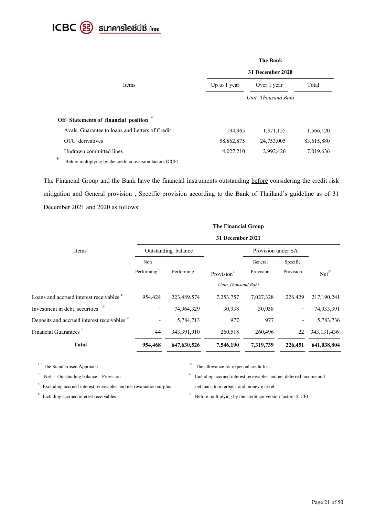

|                                                                 |                  | <b>The Bank</b>     |            |  |  |
|-----------------------------------------------------------------|------------------|---------------------|------------|--|--|
|                                                                 | 31 December 2020 |                     |            |  |  |
| Items                                                           | Up to 1 year     | Over 1 year         | Total      |  |  |
|                                                                 |                  | Unit: Thousand Baht |            |  |  |
| Off-Statements of financial position                            |                  |                     |            |  |  |
| Avals, Guarantee to loans and Letters of Credit                 | 194,965          | 1,371,155           | 1,566,120  |  |  |
| OTC derivatives                                                 | 58,862,875       | 24,753,005          | 83,615,880 |  |  |
| Undrawn committed lines                                         | 4,027,210        | 2,992,426           | 7,019,636  |  |  |
| 4/<br>Before multiplying by the credit conversion factors (CCF) |                  |                     |            |  |  |

The Financial Group and the Bank have the financial instruments outstanding before considering the credit risk mitigation and General provision , Specific provision according to the Bank of Thailand's guideline as of 31 December 2021 and 2020 as follows:

|                                                        | The Financial Group<br>31 December 2021 |             |                   |                     |                          |                   |  |
|--------------------------------------------------------|-----------------------------------------|-------------|-------------------|---------------------|--------------------------|-------------------|--|
|                                                        |                                         |             |                   |                     |                          |                   |  |
| Items                                                  | Outstanding balance                     |             |                   | Provision under SA  |                          |                   |  |
|                                                        | Non                                     |             |                   | General             | Specific                 |                   |  |
|                                                        | Performing $\frac{1}{2}$                | Performing" | Provision $2^{2}$ | Provision           | Provision                | Net <sup>3/</sup> |  |
|                                                        |                                         |             |                   | Unit: Thousand Baht |                          |                   |  |
| Loans and accrued interest receivables <sup>4</sup>    | 954,424                                 | 223,489,574 | 7,253,757         | 7,027,328           | 226,429                  | 217,190,241       |  |
| Investment in debt securities                          |                                         | 74,964,329  | 30,938            | 30,938              | $\overline{\phantom{a}}$ | 74,933,391        |  |
| Deposits and accrued interest receivables <sup>6</sup> |                                         | 5,784,713   | 977               | 977                 | $\overline{\phantom{a}}$ | 5,783,736         |  |
| Financial Guarantees <sup><math>\pi</math></sup>       | 44                                      | 343,391,910 | 260,518           | 260,496             | 22                       | 343, 131, 436     |  |
| <b>Total</b>                                           | 954,468                                 | 647,630,526 | 7,546,190         | 7,319,739           | 226,451                  | 641,038,804       |  |

 $^\mathrm{1}$  / The Standardised Approach

 $3^{3}$  Net = Outstanding balance – Provision

 $5<sup>5</sup>$  Excluding accrued interest receivables and net revaluation surplus

 $\frac{6}{7}$  Including accrued interest receivables

 $2^{7}$  The allowance for expected credit loss

4/ Including accrued interest receivables and net deferred income and

net loans to interbank and money market

 $\frac{1}{2}$  Before multiplying by the credit conversion factors (CCF)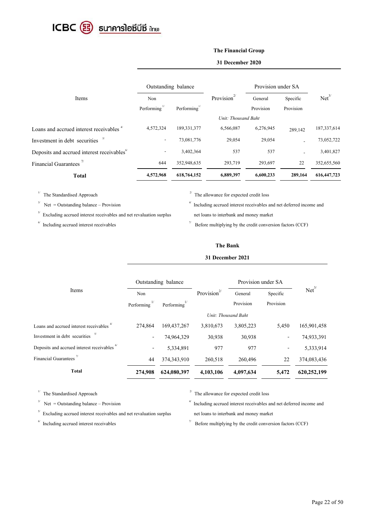

# **The Financial Group**

#### **31 December 2020**

|                                                        | Outstanding balance      |               |                     | Provision under SA |           |                   |
|--------------------------------------------------------|--------------------------|---------------|---------------------|--------------------|-----------|-------------------|
| Items                                                  | Non                      |               | Provision $2/$      | General            | Specific  | Net <sup>3/</sup> |
|                                                        | Performing $1$           | Performing"   |                     | Provision          | Provision |                   |
|                                                        |                          |               | Unit: Thousand Baht |                    |           |                   |
| Loans and accrued interest receivables "               | 4,572,324                | 189, 331, 377 | 6,566,087           | 6,276,945          | 289,142   | 187, 337, 614     |
| Investment in debt securities $5$                      | $\overline{\phantom{a}}$ | 73,081,776    | 29,054              | 29,054             |           | 73,052,722        |
| Deposits and accrued interest receivables <sup>6</sup> | ٠                        | 3,402,364     | 537                 | 537                |           | 3,401,827         |
| Financial Guarantees <sup><math>7/</math></sup>        | 644                      | 352,948,635   | 293,719             | 293,697            | 22        | 352,655,560       |
| <b>Total</b>                                           | 4,572,968                | 618,764,152   | 6,889,397           | 6,600,233          | 289,164   | 616, 447, 723     |

1/

3/ Net = Outstanding balance – Provision

 $5<sup>5</sup>$  Excluding accrued interest receivables and net revaluation surplus

 $\frac{6}{7}$  Including accrued interest receivables

The Standardised Approach  $\frac{2}{7}$  The allowance for expected credit loss

4/ Including accrued interest receivables and net deferred income and net loans to interbank and money market

 $\frac{1}{2}$  Before multiplying by the credit conversion factors (CCF)

### **The Bank**

#### **31 December 2021**

|                                                      |                    | Outstanding balance      |                         | Provision under SA |           |                   |  |
|------------------------------------------------------|--------------------|--------------------------|-------------------------|--------------------|-----------|-------------------|--|
| Items                                                | Non                |                          | Provision <sup>2/</sup> | General            | Specific  | Net <sup>3/</sup> |  |
|                                                      | Performing $^{1/}$ | Performing $\frac{1}{2}$ |                         | Provision          | Provision |                   |  |
|                                                      |                    | Unit: Thousand Baht      |                         |                    |           |                   |  |
| Loans and accrued interest receivables <sup>4/</sup> | 274,864            | 169, 437, 267            | 3,810,673               | 3,805,223          | 5,450     | 165,901,458       |  |
| Investment in debt securities                        | $\blacksquare$     | 74,964,329               | 30,938                  | 30,938             |           | 74,933,391        |  |
| Deposits and accrued interest receivables "          | ۰                  | 5,334,891                | 977                     | 977                |           | 5,333,914         |  |
| <b>Financial Guarantees</b>                          | 44                 | 374, 343, 910            | 260,518                 | 260,496            | 22        | 374,083,436       |  |
| <b>Total</b>                                         | 274,908            | 624,080,397              | 4,103,106               | 4,097,634          | 5,472     | 620,252,199       |  |

3/ Net = Outstanding balance – Provision

 $5<sup>5</sup>$  Excluding accrued interest receivables and net revaluation surplus

 $\frac{6}{7}$  Including accrued interest receivables

<sup>1/</sup> The Standardised Approach <sup>2/</sup> The allowance for expected credit loss

4/ Including accrued interest receivables and net deferred income and net loans to interbank and money market

 $\frac{1}{2}$  Before multiplying by the credit conversion factors (CCF)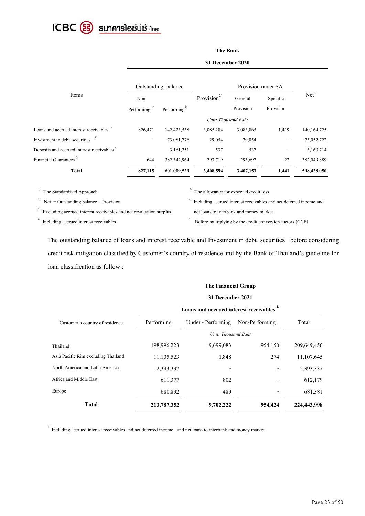

# **The Bank**

**31 December 2020**

| Items                                                  | Outstanding balance      |                 |                         | Provision under SA |           |                   |  |
|--------------------------------------------------------|--------------------------|-----------------|-------------------------|--------------------|-----------|-------------------|--|
|                                                        | Non                      |                 | Provision <sup>2/</sup> | General            | Specific  | Net <sup>3/</sup> |  |
|                                                        | Performing               | Performing $1/$ |                         | Provision          | Provision |                   |  |
|                                                        | Unit: Thousand Baht      |                 |                         |                    |           |                   |  |
| Loans and accrued interest receivables                 | 826,471                  | 142, 423, 538   | 3,085,284               | 3,083,865          | 1,419     | 140, 164, 725     |  |
| Investment in debt securities <sup>3/</sup>            | $\overline{\phantom{a}}$ | 73,081,776      | 29,054                  | 29,054             |           | 73,052,722        |  |
| Deposits and accrued interest receivables <sup>6</sup> | $\overline{\phantom{a}}$ | 3,161,251       | 537                     | 537                |           | 3,160,714         |  |
| <b>Financial Guarantees</b>                            | 644                      | 382,342,964     | 293,719                 | 293,697            | 22        | 382,049,889       |  |
| Total                                                  | 827,115                  | 601,009,529     | 3,408,594               | 3,407,153          | 1,441     | 598,428,050       |  |

3/

 $1/\,$ 

 $Net = Outstanding balance - Provision$ 

 $5<sup>5</sup>$  Excluding accrued interest receivables and net revaluation surplus

 $\frac{6}{7}$  Including accrued interest receivables

The Standardised Approach  $\frac{2}{7}$  The allowance for expected credit loss

4/ Including accrued interest receivables and net deferred income and net loans to interbank and money market

 $\frac{1}{2}$  Before multiplying by the credit conversion factors (CCF)

The outstanding balance of loans and interest receivable and Investment in debt securities before considering credit risk mitigation classified by Customer's country of residence and by the Bank of Thailand's guideline for loan classification as follow :

#### **The Financial Group**

#### **31 December 2021**

|                                     | Loans and accrued interest receivables |                     |                |             |  |
|-------------------------------------|----------------------------------------|---------------------|----------------|-------------|--|
| Customer's country of residence     | Performing                             | Under - Performing  | Non-Performing | Total       |  |
|                                     |                                        | Unit: Thousand Baht |                |             |  |
| Thailand                            | 198,996,223                            | 9,699,083           | 954,150        | 209,649,456 |  |
| Asia Pacific Rim excluding Thailand | 11,105,523                             | 1,848               | 274            | 11,107,645  |  |
| North America and Latin America     | 2,393,337                              |                     |                | 2,393,337   |  |
| Africa and Middle East              | 611,377                                | 802                 |                | 612,179     |  |
| Europe                              | 680,892                                | 489                 |                | 681,381     |  |
| <b>Total</b>                        | 213,787,352                            | 9,702,222           | 954,424        | 224,443,998 |  |

<sup>1/</sup> Including accrued interest receivables and net deferred income and net loans to interbank and money market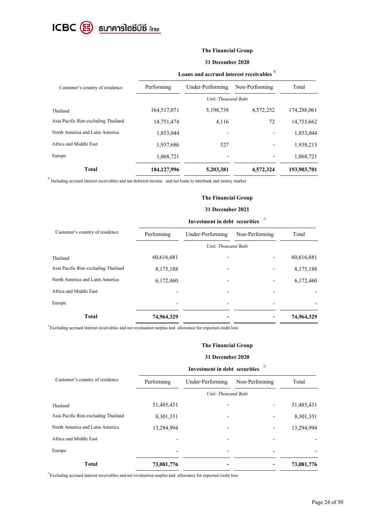

# **The Financial Group**

#### **31 December 2020**

|                                     | Loans and accrued interest receivables " |                  |                |             |  |  |  |
|-------------------------------------|------------------------------------------|------------------|----------------|-------------|--|--|--|
| Customer's country of residence     | Performing                               | Under-Performing | Non-Performing | Total       |  |  |  |
|                                     | Unit: Thousand Baht                      |                  |                |             |  |  |  |
| Thailand                            | 164,517,071                              | 5,198,738        | 4,572,252      | 174,288,061 |  |  |  |
| Asia Pacific Rim excluding Thailand | 14,751,474                               | 4,116            | 72             | 14,755,662  |  |  |  |
| North America and Latin America     | 1,853,044                                |                  |                | 1,853,044   |  |  |  |
| Africa and Middle East              | 1,937,686                                | 527              | -              | 1,938,213   |  |  |  |
| Europe                              | 1,068,721                                |                  |                | 1,068,721   |  |  |  |
| <b>Total</b>                        | 184, 127, 996                            | 5,203,381        | 4,572,324      | 193,903,701 |  |  |  |

**1/** Including accrued interest receivables and net deferred income and net loans to interbank and money market

## **The Financial Group**

# **31 December 2021**

|                                     | <b>Investment in debt securities</b> |                  |                 |            |  |  |
|-------------------------------------|--------------------------------------|------------------|-----------------|------------|--|--|
| Customer's country of residence     | Performing                           | Under-Performing | Non-Performing  | Total      |  |  |
|                                     | Unit: Thousand Baht                  |                  |                 |            |  |  |
| Thailand                            | 60,616,681                           | -                | $\qquad \qquad$ | 60,616,681 |  |  |
| Asia Pacific Rim excluding Thailand | 8,175,188                            |                  |                 | 8,175,188  |  |  |
| North America and Latin America     | 6,172,460                            |                  |                 | 6,172,460  |  |  |
| Africa and Middle East              |                                      |                  |                 |            |  |  |
| Europe                              |                                      |                  |                 |            |  |  |
| <b>Total</b>                        | 74,964,329                           |                  |                 | 74,964,329 |  |  |

 $2/2$ Excluding accrued interest receivables and net revaluation surplus and allowance for expected credit loss

#### **The Financial Group**

#### **31 December 2020**

|                                     | <b>Investment in debt securities</b> |                  |                          |            |  |
|-------------------------------------|--------------------------------------|------------------|--------------------------|------------|--|
| Customer's country of residence     | Performing                           | Under-Performing | Non-Performing           | Total      |  |
|                                     | Unit: Thousand Baht                  |                  |                          |            |  |
| Thailand                            | 51,485,431                           | -                |                          | 51,485,431 |  |
| Asia Pacific Rim excluding Thailand | 8,301,351                            | -                | -                        | 8,301,351  |  |
| North America and Latin America     | 13,294,994                           | $\qquad \qquad$  | $\overline{\phantom{a}}$ | 13,294,994 |  |
| Africa and Middle East              |                                      |                  |                          |            |  |
| Europe                              |                                      | $\qquad \qquad$  | $\overline{\phantom{0}}$ |            |  |
| <b>Total</b>                        | 73,081,776                           |                  |                          | 73,081,776 |  |

 $2^{2}$ Excluding accrued interest receivables and net revaluation surplus and allowance for expected credit loss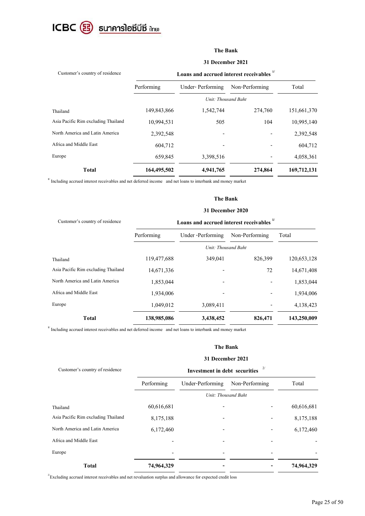

# **The Bank**

#### **31 December 2021**

| Loans and accrued interest receivables " |                  |                |                     |  |  |
|------------------------------------------|------------------|----------------|---------------------|--|--|
| Performing                               | Under-Performing | Non-Performing | Total               |  |  |
|                                          |                  |                |                     |  |  |
| 149,843,866                              | 1,542,744        | 274,760        | 151,661,370         |  |  |
| 10,994,531                               | 505              | 104            | 10,995,140          |  |  |
| 2,392,548                                |                  |                | 2,392,548           |  |  |
| 604.712                                  |                  |                | 604,712             |  |  |
| 659,845                                  | 3,398,516        |                | 4,058,361           |  |  |
| 164,495,502                              | 4,941,765        | 274,864        | 169,712,131         |  |  |
|                                          |                  |                | Unit: Thousand Baht |  |  |

<sup>1/</sup> Including accrued interest receivables and net deferred income and net loans to interbank and money market

#### **The Bank**

#### **31 December 2020**

| Customer's country of residence     |             | Loans and accrued interest receivables " |                |             |
|-------------------------------------|-------------|------------------------------------------|----------------|-------------|
|                                     | Performing  | Under -Performing                        | Non-Performing | Total       |
|                                     |             | Unit: Thousand Baht                      |                |             |
| Thailand                            | 119,477,688 | 349,041                                  | 826,399        | 120,653,128 |
| Asia Pacific Rim excluding Thailand | 14,671,336  |                                          | 72             | 14,671,408  |
| North America and Latin America     | 1,853,044   |                                          |                | 1,853,044   |
| Africa and Middle East              | 1,934,006   |                                          |                | 1,934,006   |
| Europe                              | 1,049,012   | 3,089,411                                |                | 4,138,423   |
| <b>Total</b>                        | 138,985,086 | 3,438,452                                | 826,471        | 143,250,009 |

**1/** Including accrued interest receivables and net deferred income and net loans to interbank and money market

#### **The Bank**

#### **31 December 2021**

| Customer's country of residence     | <b>Investment in debt securities</b> |                  |                |            |  |
|-------------------------------------|--------------------------------------|------------------|----------------|------------|--|
|                                     | Performing                           | Under-Performing | Non-Performing | Total      |  |
|                                     | Unit: Thousand Baht                  |                  |                |            |  |
| Thailand                            | 60,616,681                           |                  |                | 60,616,681 |  |
| Asia Pacific Rim excluding Thailand | 8,175,188                            |                  |                | 8,175,188  |  |
| North America and Latin America     | 6,172,460                            |                  |                | 6,172,460  |  |
| Africa and Middle East              |                                      |                  |                |            |  |
| Europe                              |                                      |                  |                |            |  |
| <b>Total</b>                        | 74,964,329                           |                  |                | 74,964,329 |  |

 $2^{2}$ Excluding accrued interest receivables and net revaluation surplus and allowance for expected credit loss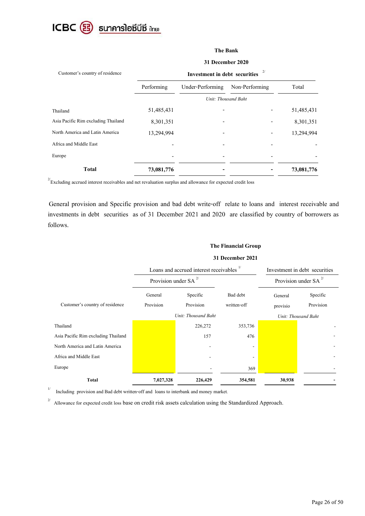

# **The Bank**

#### **31 December 2020**

| Customer's country of residence     |                     | <b>Investment in debt securities</b> |                |            |
|-------------------------------------|---------------------|--------------------------------------|----------------|------------|
|                                     | Performing          | Under-Performing                     | Non-Performing | Total      |
|                                     | Unit: Thousand Baht |                                      |                |            |
| Thailand                            | 51,485,431          |                                      |                | 51,485,431 |
| Asia Pacific Rim excluding Thailand | 8,301,351           |                                      |                | 8,301,351  |
| North America and Latin America     | 13,294,994          |                                      |                | 13,294,994 |
| Africa and Middle East              |                     |                                      |                |            |
| Europe                              |                     |                                      |                |            |
| <b>Total</b>                        | 73,081,776          |                                      |                | 73,081,776 |

 $\mathbb{Z}^{2}$ Excluding accrued interest receivables and net revaluation surplus and allowance for expected credit loss

General provision and Specific provision and bad debt write-off relate to loans and interest receivable and investments in debt securities as of 31 December 2021 and 2020 are classified by country of borrowers as follows.

## **The Financial Group**

|                                     |                            | Loans and accrued interest receivables " | Investment in debt securities |          |                            |
|-------------------------------------|----------------------------|------------------------------------------|-------------------------------|----------|----------------------------|
|                                     | Provision under SA $^{2/}$ |                                          |                               |          | Provision under SA $^{27}$ |
|                                     | General                    | Specific                                 | Bad debt                      | General  | Specific                   |
| Customer's country of residence     | Provision                  | Provision                                | written-off                   | provisio | Provision                  |
|                                     |                            | Unit: Thousand Baht                      |                               |          | Unit: Thousand Baht        |
| Thailand                            |                            | 226,272                                  | 353,736                       |          |                            |
| Asia Pacific Rim excluding Thailand |                            | 157                                      | 476                           |          |                            |
| North America and Latin America     |                            |                                          |                               |          |                            |
| Africa and Middle East              |                            |                                          |                               |          |                            |
| Europe                              |                            |                                          | 369                           |          |                            |
| Total                               | 7,027,328                  | 226,429                                  | 354,581                       | 30,938   |                            |

**31 December 2021**

1/ Including provision and Bad debt written-off and loans to interbank and money market.

2/ Allowance for expected credit loss base on credit risk assets calculation using the Standardized Approach.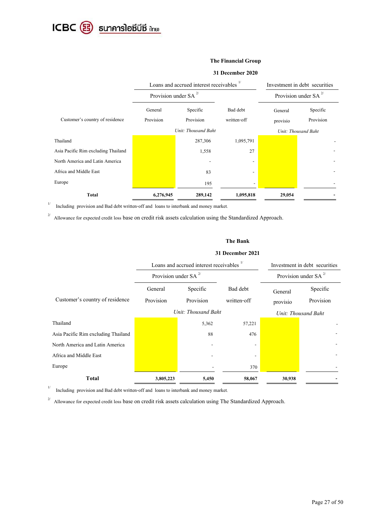ICBC <sup>3</sup> sunคารโอซีบีซี ilnย)

#### **The Financial Group**

#### **31 December 2020**

|                                     | Loans and accrued interest receivables " |                     |                          |          | Investment in debt securities |
|-------------------------------------|------------------------------------------|---------------------|--------------------------|----------|-------------------------------|
|                                     | Provision under SA $^{2/}$               |                     |                          |          | Provision under SA $^{2/}$    |
|                                     | General                                  | Specific            | Bad debt                 | General  | Specific                      |
| Customer's country of residence     | Provision                                | Provision           | written-off              | provisio | Provision                     |
|                                     |                                          | Unit: Thousand Baht |                          |          | Unit: Thousand Baht           |
| Thailand                            |                                          | 287,306             | 1,095,791                |          |                               |
| Asia Pacific Rim excluding Thailand |                                          | 1,558               | 27                       |          |                               |
| North America and Latin America     |                                          |                     | $\overline{\phantom{a}}$ |          |                               |
| Africa and Middle East              |                                          | 83                  | $\overline{\phantom{a}}$ |          |                               |
| Europe                              |                                          | 195                 |                          |          |                               |
| Total                               | 6,276,945                                | 289,142             | 1,095,818                | 29,054   |                               |

 $1/\,$ Including provision and Bad debt written-off and loans to interbank and money market.

<sup>2/</sup> Allowance for expected credit loss base on credit risk assets calculation using the Standardized Approach.

#### **The Bank**

#### **31 December 2021**

|                                     |                            | Loans and accrued interest receivables |                         | Investment in debt securities |                            |
|-------------------------------------|----------------------------|----------------------------------------|-------------------------|-------------------------------|----------------------------|
|                                     | Provision under SA $^{2/}$ |                                        |                         |                               | Provision under SA $^{2/}$ |
| Customer's country of residence     | General<br>Provision       | Specific<br>Provision                  | Bad debt<br>written-off | General<br>provisio           | Specific<br>Provision      |
|                                     | Unit: Thousand Baht        |                                        |                         |                               | Unit: Thousand Baht        |
| Thailand                            |                            | 5,362                                  | 57,221                  |                               |                            |
| Asia Pacific Rim excluding Thailand |                            | 88                                     | 476                     |                               |                            |
| North America and Latin America     |                            |                                        |                         |                               |                            |
| Africa and Middle East              |                            |                                        |                         |                               |                            |
| Europe                              |                            |                                        | 370                     |                               |                            |
| <b>Total</b>                        | 3,805,223                  | 5,450                                  | 58,067                  | 30,938                        |                            |

1/ Including provision and Bad debt written-off and loans to interbank and money market.

2/ Allowance for expected credit loss base on credit risk assets calculation using The Standardized Approach.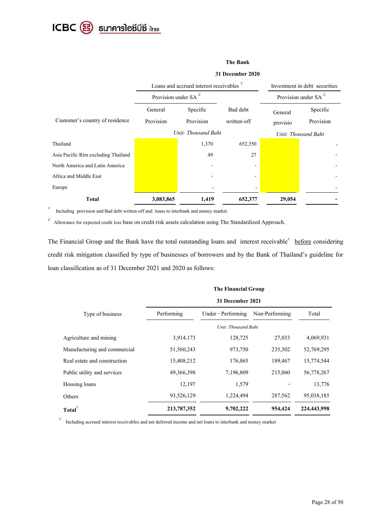ICBC 3 ธนาคารโอซีบีซี ihย

#### **The Bank**

#### **31 December 2020**

|                                     |                            | Loans and accrued interest receivables |             | Investment in debt securities |                            |
|-------------------------------------|----------------------------|----------------------------------------|-------------|-------------------------------|----------------------------|
|                                     | Provision under SA $^{27}$ |                                        |             |                               | Provision under SA $^{27}$ |
|                                     | General                    | Specific                               | Bad debt    | General                       | Specific                   |
| Customer's country of residence     | Provision                  | Provision                              | written-off | provisio                      | Provision                  |
| Unit: Thousand Baht                 |                            |                                        |             | Unit: Thousand Baht           |                            |
| Thailand                            |                            | 1,370                                  | 652,350     |                               |                            |
| Asia Pacific Rim excluding Thailand |                            | 49                                     | 27          |                               |                            |
| North America and Latin America     |                            |                                        |             |                               |                            |
| Africa and Middle East              |                            |                                        |             |                               |                            |
| Europe                              |                            |                                        |             |                               |                            |
| <b>Total</b>                        | 3,083,865                  | 1,419                                  | 652,377     | 29,054                        |                            |

1/ Including provision and Bad debt written-off and loans to interbank and money market.

2/ Allowance for expected credit loss base on credit risk assets calculation using The Standardized Approach.

The Financial Group and the Bank have the total outstanding loans and interest receivable<sup>1/</sup> before considering credit risk mitigation classified by type of businesses of borrowers and by the Bank of Thailand's guideline for loan classification as of 31 December 2021 and 2020 as follows:

|                              | <b>The Financial Group</b> |                     |                |             |  |
|------------------------------|----------------------------|---------------------|----------------|-------------|--|
|                              | 31 December 2021           |                     |                |             |  |
| Type of business             | Performing                 | Under - Performing  | Non-Performing | Total       |  |
|                              |                            | Unit: Thousand Baht |                |             |  |
| Agriculture and mining       | 3,914,173                  | 128,725             | 27,033         | 4,069,931   |  |
| Manufacturing and commercial | 51,560,243                 | 973,750             | 235,302        | 52,769,295  |  |
| Real estate and construction | 15,408,212                 | 176,865             | 189,467        | 15,774,544  |  |
| Public utility and services  | 49,366,398                 | 7,196,809           | 215,060        | 56,778,267  |  |
| Housing loans                | 12,197                     | 1,579               |                | 13,776      |  |
| Others                       | 93,526,129                 | 1,224,494           | 287,562        | 95,038,185  |  |
| $\textbf{Total}^{1/2}$       | 213,787,352                | 9,702,222           | 954,424        | 224,443,998 |  |

1/ Including accrued interest receivables and net deferred income and net loans to interbank and money market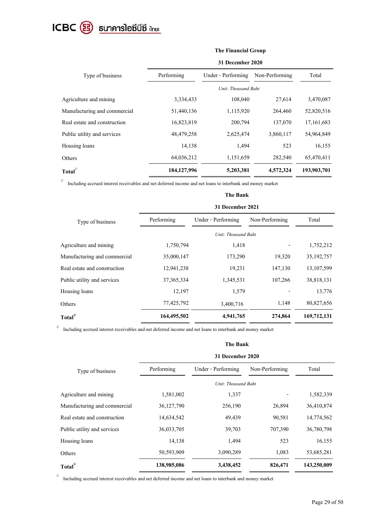# ICBC <sup>3</sup> sunคารโอซีบีซี ilnย)

|                              | The Financial Group |                     |                |              |  |  |
|------------------------------|---------------------|---------------------|----------------|--------------|--|--|
|                              | 31 December 2020    |                     |                |              |  |  |
| Type of business             | Performing          | Under - Performing  | Non-Performing | Total        |  |  |
|                              |                     | Unit: Thousand Baht |                |              |  |  |
| Agriculture and mining       | 3,334,433           | 108,040             | 27,614         | 3,470,087    |  |  |
| Manufacturing and commercial | 51,440,136          | 1,115,920           | 264,460        | 52,820,516   |  |  |
| Real estate and construction | 16,823,819          | 200,794             | 137,070        | 17, 161, 683 |  |  |
| Public utility and services  | 48, 479, 258        | 2,625,474           | 3,860,117      | 54,964,849   |  |  |
| Housing loans                | 14,138              | 1,494               | 523            | 16,155       |  |  |
| Others                       | 64,036,212          | 1,151,659           | 282,540        | 65,470,411   |  |  |
| $\textbf{Total}^{1/2}$       | 184, 127, 996       | 5,203,381           | 4,572,324      | 193,903,701  |  |  |

1/ Including accrued interest receivables and net deferred income and net loans to interbank and money market

|                              | <b>The Bank</b>  |                     |                |              |  |
|------------------------------|------------------|---------------------|----------------|--------------|--|
|                              | 31 December 2021 |                     |                |              |  |
| Type of business             | Performing       | Under - Performing  | Non-Performing | Total        |  |
|                              |                  | Unit: Thousand Baht |                |              |  |
| Agriculture and mining       | 1,750,794        | 1,418               |                | 1,752,212    |  |
| Manufacturing and commercial | 35,000,147       | 173,290             | 19,320         | 35, 192, 757 |  |
| Real estate and construction | 12,941,238       | 19,231              | 147,130        | 13, 107, 599 |  |
| Public utility and services  | 37, 365, 334     | 1,345,531           | 107,266        | 38,818,131   |  |
| Housing loans                | 12,197           | 1,579               |                | 13,776       |  |
| Others                       | 77,425,792       | 3,400,716           | 1,148          | 80,827,656   |  |
| Total <sup>1/</sup>          | 164,495,502      | 4,941,765           | 274,864        | 169,712,131  |  |

1/ Including accrued interest receivables and net deferred income and net loans to interbank and money market

|                              | <b>The Bank</b>  |                     |                |             |  |  |
|------------------------------|------------------|---------------------|----------------|-------------|--|--|
|                              | 31 December 2020 |                     |                |             |  |  |
| Type of business             | Performing       | Under - Performing  | Non-Performing | Total       |  |  |
|                              |                  | Unit: Thousand Baht |                |             |  |  |
| Agriculture and mining       | 1,581,002        | 1,337               |                | 1,582,339   |  |  |
| Manufacturing and commercial | 36,127,790       | 256,190             | 26,894         | 36,410,874  |  |  |
| Real estate and construction | 14,634,542       | 49,439              | 90,581         | 14,774,562  |  |  |
| Public utility and services  | 36,033,705       | 39,703              | 707,390        | 36,780,798  |  |  |
| Housing loans                | 14,138           | 1,494               | 523            | 16,155      |  |  |
| Others                       | 50,593,909       | 3,090,289           | 1,083          | 53,685,281  |  |  |
| Total <sup>1/</sup>          | 138,985,086      | 3,438,452           | 826,471        | 143,250,009 |  |  |

<sup>1/</sup> Including accrued interest receivables and net deferred income and net loans to interbank and money market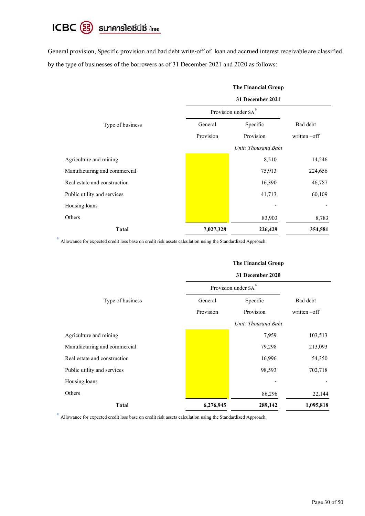# ICBC 3 ธนาคารโอซีบีซี ilnย)

General provision, Specific provision and bad debt write-off of loan and accrued interest receivable are classified by the type of businesses of the borrowers as of 31 December 2021 and 2020 as follows:

|                              | <b>The Financial Group</b> |                                  |             |  |  |  |
|------------------------------|----------------------------|----------------------------------|-------------|--|--|--|
|                              | 31 December 2021           |                                  |             |  |  |  |
|                              |                            | Provision under SA <sup>1/</sup> |             |  |  |  |
| Type of business             | General                    | Specific                         | Bad debt    |  |  |  |
|                              | Provision                  | Provision                        | written-off |  |  |  |
|                              |                            | Unit: Thousand Baht              |             |  |  |  |
| Agriculture and mining       |                            | 8,510                            | 14,246      |  |  |  |
| Manufacturing and commercial |                            | 75,913                           | 224,656     |  |  |  |
| Real estate and construction |                            | 16,390                           | 46,787      |  |  |  |
| Public utility and services  |                            | 41,713                           | 60,109      |  |  |  |
| Housing loans                |                            |                                  |             |  |  |  |
| Others                       |                            | 83,903                           | 8,783       |  |  |  |
| <b>Total</b>                 | 7,027,328                  | 226,429                          | 354,581     |  |  |  |

<sup>1/</sup> Allowance for expected credit loss base on credit risk assets calculation using the Standardized Approach.

#### **The Financial Group**

|                              | 31 December 2020 |                                  |                 |  |  |
|------------------------------|------------------|----------------------------------|-----------------|--|--|
|                              |                  | Provision under SA <sup>1/</sup> |                 |  |  |
| Type of business             | General          | Specific                         | Bad debt        |  |  |
|                              | Provision        | Provision                        | written $-$ off |  |  |
|                              |                  | Unit: Thousand Baht              |                 |  |  |
| Agriculture and mining       |                  | 7,959                            | 103,513         |  |  |
| Manufacturing and commercial |                  | 79,298                           | 213,093         |  |  |
| Real estate and construction |                  | 16,996                           | 54,350          |  |  |
| Public utility and services  |                  | 98,593                           | 702,718         |  |  |
| Housing loans                |                  |                                  |                 |  |  |
| Others                       |                  | 86,296                           | 22,144          |  |  |
| <b>Total</b>                 | 6,276,945        | 289,142                          | 1,095,818       |  |  |

<sup>1/</sup> Allowance for expected credit loss base on credit risk assets calculation using the Standardized Approach.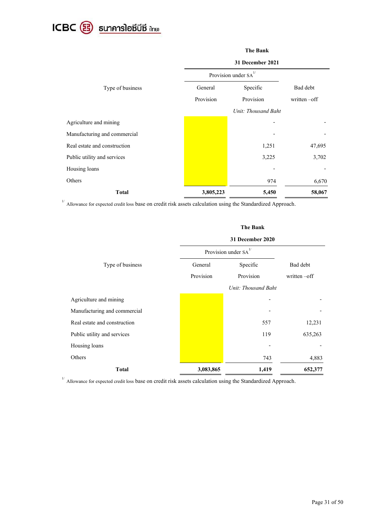

|                              | <b>The Bank</b>     |                                  |              |  |  |  |
|------------------------------|---------------------|----------------------------------|--------------|--|--|--|
|                              | 31 December 2021    |                                  |              |  |  |  |
|                              |                     | Provision under SA <sup>1/</sup> |              |  |  |  |
| Type of business             | Specific<br>General |                                  | Bad debt     |  |  |  |
|                              | Provision           | Provision                        | written -off |  |  |  |
|                              |                     | Unit: Thousand Baht              |              |  |  |  |
| Agriculture and mining       |                     |                                  |              |  |  |  |
| Manufacturing and commercial |                     |                                  |              |  |  |  |
| Real estate and construction |                     | 1,251                            | 47,695       |  |  |  |
| Public utility and services  |                     | 3,225                            | 3,702        |  |  |  |
| Housing loans                |                     |                                  |              |  |  |  |
| Others                       |                     | 974                              | 6,670        |  |  |  |
| <b>Total</b>                 | 3,805,223           | 5,450                            | 58,067       |  |  |  |

<sup>1/</sup> Allowance for expected credit loss base on credit risk assets calculation using the Standardized Approach.

|                              |                                  | <b>The Bank</b>     |                 |  |  |  |  |  |  |  |
|------------------------------|----------------------------------|---------------------|-----------------|--|--|--|--|--|--|--|
|                              | 31 December 2020                 |                     |                 |  |  |  |  |  |  |  |
|                              | Provision under SA <sup>1/</sup> |                     |                 |  |  |  |  |  |  |  |
| Type of business             | General                          | Specific            | Bad debt        |  |  |  |  |  |  |  |
|                              | Provision                        | Provision           | written $-$ off |  |  |  |  |  |  |  |
|                              |                                  | Unit: Thousand Baht |                 |  |  |  |  |  |  |  |
| Agriculture and mining       |                                  |                     |                 |  |  |  |  |  |  |  |
| Manufacturing and commercial |                                  |                     |                 |  |  |  |  |  |  |  |
| Real estate and construction |                                  | 557                 | 12,231          |  |  |  |  |  |  |  |
| Public utility and services  |                                  | 119                 | 635,263         |  |  |  |  |  |  |  |
| Housing loans                |                                  |                     |                 |  |  |  |  |  |  |  |
| Others                       |                                  | 743                 | 4,883           |  |  |  |  |  |  |  |
| <b>Total</b>                 | 3,083,865                        | 1,419               | 652,377         |  |  |  |  |  |  |  |

<sup>1/</sup> Allowance for expected credit loss base on credit risk assets calculation using the Standardized Approach.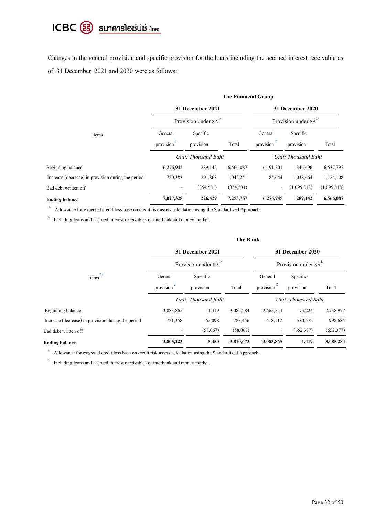# ICBC <sup>3</sup> ธนาคารโอซีบีซี ilnย)

Changes in the general provision and specific provision for the loans including the accrued interest receivable as of 31 December 2021 and 2020 were as follows:

|                                                    | The Financial Group      |                                 |                  |                                 |             |             |  |  |  |  |  |  |
|----------------------------------------------------|--------------------------|---------------------------------|------------------|---------------------------------|-------------|-------------|--|--|--|--|--|--|
|                                                    |                          | 31 December 2021                | 31 December 2020 |                                 |             |             |  |  |  |  |  |  |
|                                                    |                          | Provision under SA <sup>1</sup> |                  | Provision under SA <sup>1</sup> |             |             |  |  |  |  |  |  |
| Items                                              | General                  | Specific                        |                  | General                         | Specific    |             |  |  |  |  |  |  |
|                                                    | provision <sup>2</sup>   | provision                       | Total            | provision <sup>2</sup>          | provision   | Total       |  |  |  |  |  |  |
|                                                    |                          | Unit: Thousand Baht             |                  | Unit: Thousand Baht             |             |             |  |  |  |  |  |  |
| Beginning balance                                  | 6,276,945                | 289,142                         | 6,566,087        | 6,191,301                       | 346,496     | 6,537,797   |  |  |  |  |  |  |
| Increase (decrease) in provision during the period | 750,383                  | 291,868                         | 1,042,251        | 85,644                          | 1,038,464   | 1,124,108   |  |  |  |  |  |  |
| Bad debt written off                               | $\overline{\phantom{a}}$ | (354, 581)                      | (354, 581)       | $\overline{\phantom{a}}$        | (1,095,818) | (1,095,818) |  |  |  |  |  |  |
| <b>Ending balance</b>                              | 7,027,328                | 226,429                         | 7,253,757        | 6,276,945                       | 289,142     | 6,566,087   |  |  |  |  |  |  |

 $1/\,$ Allowance for expected credit loss base on credit risk assets calculation using the Standardized Approach.

2/ Including loans and accrued interest receivables of interbank and money market.

|                                                    | The Bank                    |                            |                                  |                        |                     |            |  |  |  |  |  |  |
|----------------------------------------------------|-----------------------------|----------------------------|----------------------------------|------------------------|---------------------|------------|--|--|--|--|--|--|
|                                                    |                             | 31 December 2021           |                                  |                        | 31 December 2020    |            |  |  |  |  |  |  |
|                                                    |                             | Provision under $SA^{1/2}$ | Provision under SA <sup>1/</sup> |                        |                     |            |  |  |  |  |  |  |
| Items                                              | General                     | Specific                   |                                  | General                | Specific            | Total      |  |  |  |  |  |  |
|                                                    | $\overline{2}$<br>provision | provision                  | Total                            | provision <sup>2</sup> | provision           |            |  |  |  |  |  |  |
|                                                    |                             | Unit: Thousand Baht        |                                  |                        | Unit: Thousand Baht |            |  |  |  |  |  |  |
| Beginning balance                                  | 3,083,865                   | 1,419                      | 3,085,284                        | 2,665,753              | 73,224              | 2,738,977  |  |  |  |  |  |  |
| Increase (decrease) in provision during the period | 721,358                     | 62,098                     | 783,456                          | 418,112                | 580,572             | 998,684    |  |  |  |  |  |  |
| Bad debt written off                               |                             | (58,067)                   | (58,067)                         |                        | (652, 377)          | (652, 377) |  |  |  |  |  |  |
| <b>Ending balance</b>                              | 3,805,223                   | 5,450                      | 3,810,673                        | 3,083,865              | 1,419               | 3,085,284  |  |  |  |  |  |  |
|                                                    |                             |                            |                                  |                        |                     |            |  |  |  |  |  |  |

1/ Allowance for expected credit loss base on credit risk assets calculation using the Standardized Approach.

 $2\prime$ Including loans and accrued interest receivables of interbank and money market.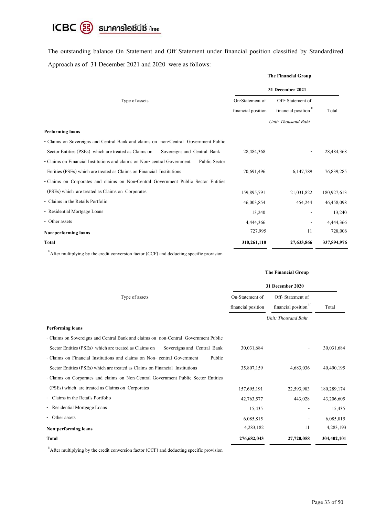# ICBC <sup>3</sup> ธนาคารโอซีบีซี แทย

The outstanding balance On Statement and Off Statement under financial position classified by Standardized Approach as of 31 December 2021 and 2020 were as follows:

|                                                                                          | 31 December 2021   |                                  |             |
|------------------------------------------------------------------------------------------|--------------------|----------------------------------|-------------|
| Type of assets                                                                           | On-Statement of    | Off-Statement of                 |             |
|                                                                                          | financial position | financial position <sup>1/</sup> | Total       |
|                                                                                          |                    | Unit: Thousand Baht              |             |
| <b>Performing loans</b>                                                                  |                    |                                  |             |
| - Claims on Sovereigns and Central Bank and claims on non-Central Government Public      |                    |                                  |             |
| Sector Entities (PSEs) which are treated as Claims on<br>Sovereigns and Central Bank     | 28,484,368         |                                  | 28,484,368  |
| - Claims on Financial Institutions and claims on Non-central Government<br>Public Sector |                    |                                  |             |
| Entities (PSEs) which are treated as Claims on Financial Institutions                    | 70,691,496         | 6,147,789                        | 76,839,285  |
| - Claims on Corporates and claims on Non-Central Government Public Sector Entities       |                    |                                  |             |
| (PSEs) which are treated as Claims on Corporates                                         | 159,895,791        | 21,031,822                       | 180,927,613 |
| - Claims in the Retails Portfolio                                                        | 46,003,854         | 454,244                          | 46,458,098  |
| - Residential Mortgage Loans                                                             | 13,240             |                                  | 13,240      |
| - Other assets                                                                           | 4,444,366          |                                  | 4,444,366   |
| Non-performing loans                                                                     | 727,995            | 11                               | 728,006     |
| <b>Total</b>                                                                             | 310,261,110        | 27,633,866                       | 337,894,976 |
|                                                                                          |                    |                                  |             |

 $1/4$  After multiplying by the credit conversion factor (CCF) and deducting specific provision

#### **The Financial Group**

**The Financial Group**

| Type of assets                                                                       | On-Statement of<br>financial position | Off-Statement of<br>financial position <sup>1/</sup> | Total       |
|--------------------------------------------------------------------------------------|---------------------------------------|------------------------------------------------------|-------------|
|                                                                                      |                                       | Unit: Thousand Baht                                  |             |
| <b>Performing loans</b>                                                              |                                       |                                                      |             |
| - Claims on Sovereigns and Central Bank and claims on non-Central Government Public  |                                       |                                                      |             |
| Sector Entities (PSEs) which are treated as Claims on<br>Sovereigns and Central Bank | 30,031,684                            | $\overline{\phantom{a}}$                             | 30,031,684  |
| - Claims on Financial Institutions and claims on Non-central Government<br>Public    |                                       |                                                      |             |
| Sector Entities (PSEs) which are treated as Claims on Financial Institutions         | 35,807,159                            | 4,683,036                                            | 40,490,195  |
| - Claims on Corporates and claims on Non-Central Government Public Sector Entities   |                                       |                                                      |             |
| (PSEs) which are treated as Claims on Corporates                                     | 157,695,191                           | 22,593,983                                           | 180,289,174 |
| Claims in the Retails Portfolio                                                      | 42,763,577                            | 443,028                                              | 43,206,605  |
| - Residential Mortgage Loans                                                         | 15,435                                |                                                      | 15,435      |
| Other assets                                                                         | 6,085,815                             | $\overline{a}$                                       | 6,085,815   |
| Non-performing loans                                                                 | 4,283,182                             | 11                                                   | 4,283,193   |
| <b>Total</b>                                                                         | 276,682,043                           | 27,720,058                                           | 304,402,101 |

 $1/4$  After multiplying by the credit conversion factor (CCF) and deducting specific provision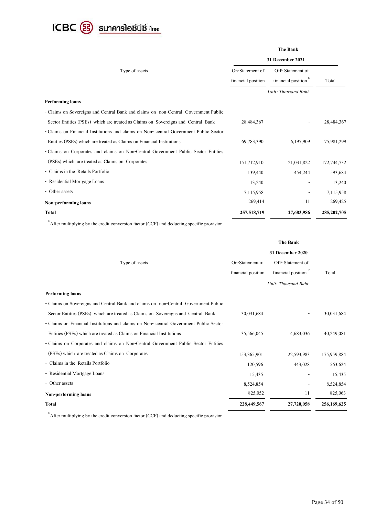

#### **The Bank**

| Type of assets                                                                        | On-Statement of<br>financial position | Off-Statement of<br>financial position <sup>1/</sup><br>Unit: Thousand Baht | Total         |  |
|---------------------------------------------------------------------------------------|---------------------------------------|-----------------------------------------------------------------------------|---------------|--|
| <b>Performing loans</b>                                                               |                                       |                                                                             |               |  |
| - Claims on Sovereigns and Central Bank and claims on non-Central Government Public   |                                       |                                                                             |               |  |
| Sector Entities (PSEs) which are treated as Claims on Sovereigns and Central Bank     | 28,484,367                            |                                                                             | 28,484,367    |  |
| - Claims on Financial Institutions and claims on Non-eentral Government Public Sector |                                       |                                                                             |               |  |
| Entities (PSEs) which are treated as Claims on Financial Institutions                 | 69,783,390                            | 6,197,909                                                                   | 75,981,299    |  |
| - Claims on Corporates and claims on Non-Central Government Public Sector Entities    |                                       |                                                                             |               |  |
| (PSEs) which are treated as Claims on Corporates                                      | 151,712,910                           | 21,031,822                                                                  | 172,744,732   |  |
| - Claims in the Retails Portfolio                                                     | 139,440                               | 454,244                                                                     | 593,684       |  |
| - Residential Mortgage Loans                                                          | 13,240                                |                                                                             | 13,240        |  |
| - Other assets                                                                        | 7,115,958                             |                                                                             | 7,115,958     |  |
| Non-performing loans                                                                  | 269,414                               | 11                                                                          | 269,425       |  |
| <b>Total</b>                                                                          | 257,518,719                           | 27,683,986                                                                  | 285, 202, 705 |  |

 $1/4$  After multiplying by the credit conversion factor (CCF) and deducting specific provision

|                                                                                       |                    | The Bank            |             |
|---------------------------------------------------------------------------------------|--------------------|---------------------|-------------|
|                                                                                       |                    | 31 December 2020    |             |
| Type of assets                                                                        | On-Statement of    | Off-Statement of    |             |
|                                                                                       | financial position | financial position  | Total       |
|                                                                                       |                    | Unit: Thousand Baht |             |
| <b>Performing loans</b>                                                               |                    |                     |             |
| - Claims on Sovereigns and Central Bank and claims on non-Central Government Public   |                    |                     |             |
| Sector Entities (PSEs) which are treated as Claims on Sovereigns and Central Bank     | 30,031,684         |                     | 30,031,684  |
| - Claims on Financial Institutions and claims on Non-eentral Government Public Sector |                    |                     |             |
| Entities (PSEs) which are treated as Claims on Financial Institutions                 | 35,566,045         | 4,683,036           | 40,249,081  |
| - Claims on Corporates and claims on Non-Central Government Public Sector Entities    |                    |                     |             |
| (PSEs) which are treated as Claims on Corporates                                      | 153,365,901        | 22,593,983          | 175,959,884 |
| - Claims in the Retails Portfolio                                                     | 120,596            | 443,028             | 563,624     |
| - Residential Mortgage Loans                                                          | 15,435             |                     | 15,435      |
| - Other assets                                                                        | 8,524,854          |                     | 8,524,854   |
| Non-performing loans                                                                  | 825,052            | 11                  | 825,063     |
| Total                                                                                 | 228,449,567        | 27,720,058          | 256,169,625 |

 $1/4$  After multiplying by the credit conversion factor (CCF) and deducting specific provision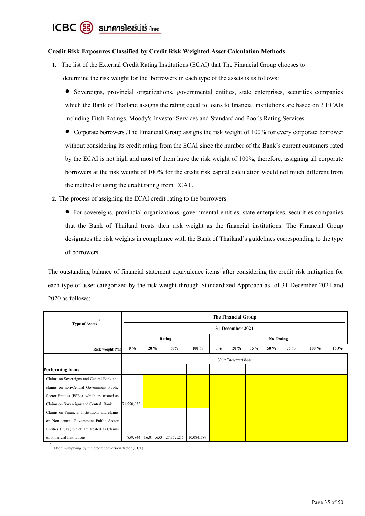

#### **Credit Risk Exposures Classified by Credit Risk Weighted Asset Calculation Methods**

**1.** The list of the External Credit Rating Institutions (ECAI) that The Financial Group chooses to determine the risk weight for the borrowers in each type of the assets is as follows:

 Sovereigns, provincial organizations, governmental entities, state enterprises, securities companies which the Bank of Thailand assigns the rating equal to loans to financial institutions are based on 3 ECAIs including Fitch Ratings, Moody's Investor Services and Standard and Poor's Rating Services.

 Corporate borrowers ,The Financial Group assigns the risk weight of 100% for every corporate borrower without considering its credit rating from the ECAI since the number of the Bank's current customers rated by the ECAI is not high and most of them have the risk weight of 100%, therefore, assigning all corporate borrowers at the risk weight of 100% for the credit risk capital calculation would not much different from the method of using the credit rating from ECAI .

**2.** The process of assigning the ECAI credit rating to the borrowers.

 For sovereigns, provincial organizations, governmental entities, state enterprises, securities companies that the Bank of Thailand treats their risk weight as the financial institutions. The Financial Group designates the risk weights in compliance with the Bank of Thailand's guidelines corresponding to the type of borrowers.

The outstanding balance of financial statement equivalence items  $\frac{1}{2}$  after considering the credit risk mitigation for each type of asset categorized by the risk weight through Standardized Approach as of 31 December 2021 and 2020 as follows:

| $\mathbf{I}$                                |            |                     |            |            |       | The Financial Group |         |           |      |         |      |  |
|---------------------------------------------|------------|---------------------|------------|------------|-------|---------------------|---------|-----------|------|---------|------|--|
| <b>Type of Assets</b>                       |            |                     |            |            |       | 31 December 2021    |         |           |      |         |      |  |
|                                             |            |                     | Rating     |            |       |                     |         | No Rating |      |         |      |  |
| Risk weight (%)                             | $0\%$      | 20%                 | 50%        | $100 \%$   | $0\%$ | 20%                 | $35 \%$ | 50 %      | 75 % | $100\%$ | 150% |  |
|                                             |            | Unit: Thousand Baht |            |            |       |                     |         |           |      |         |      |  |
| <b>Performing loans</b>                     |            |                     |            |            |       |                     |         |           |      |         |      |  |
| Claims on Sovereigns and Central Bank and   |            |                     |            |            |       |                     |         |           |      |         |      |  |
| claims on non-Central Government Public     |            |                     |            |            |       |                     |         |           |      |         |      |  |
| Sector Entities (PSEs) which are treated as |            |                     |            |            |       |                     |         |           |      |         |      |  |
| Claims on Sovereigns and Central Bank       | 71,550,635 |                     |            |            |       |                     |         |           |      |         |      |  |
| Claims on Financial Institutions and claims |            |                     |            |            |       |                     |         |           |      |         |      |  |
| on Non-central Government Public Sector     |            |                     |            |            |       |                     |         |           |      |         |      |  |
| Entities (PSEs) which are treated as Claims |            |                     |            |            |       |                     |         |           |      |         |      |  |
| on Financial Institutions                   | 859,844    | 16,014,653          | 27,352,215 | 10,084,589 |       |                     |         |           |      |         |      |  |

1/ After multiplying by the credit conversion factor (CCF)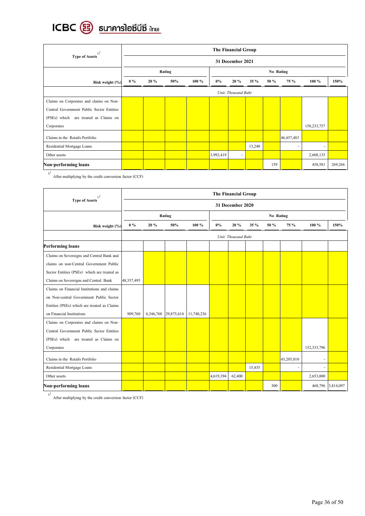

| 1/                                        |       |                     |     |          |           | The Financial Group |         |      |            |               |         |
|-------------------------------------------|-------|---------------------|-----|----------|-----------|---------------------|---------|------|------------|---------------|---------|
| <b>Type of Assets</b>                     |       |                     |     |          |           | 31 December 2021    |         |      |            |               |         |
|                                           |       | Rating              |     |          |           | No Rating           |         |      |            |               |         |
| Risk weight (%)                           | $0\%$ | 20%                 | 50% | $100 \%$ | $0\%$     | 20%                 | $35 \%$ | 50 % | 75 %       | $100 \%$      | 150%    |
|                                           |       | Unit: Thousand Baht |     |          |           |                     |         |      |            |               |         |
| Claims on Corporates and claims on Non-   |       |                     |     |          |           |                     |         |      |            |               |         |
| Central Government Public Sector Entities |       |                     |     |          |           |                     |         |      |            |               |         |
| (PSEs) which<br>are treated as Claims on  |       |                     |     |          |           |                     |         |      |            |               |         |
| Corporates                                |       |                     |     |          |           |                     |         |      |            | 158, 233, 757 |         |
| Claims in the Retails Portfolio           |       |                     |     |          |           |                     |         |      | 46,457,483 |               |         |
| Residential Mortgage Loans                |       |                     |     |          |           |                     | 13,240  |      |            | ۰             |         |
| Other assets                              |       |                     |     |          | 3,992,419 | $\sim$              |         |      |            | 2,608,135     |         |
| Non-performing loans                      |       |                     |     |          |           |                     |         | 159  |            | 458,581       | 269,266 |

1/ After multiplying by the credit conversion factor (CCF)

|                                             |            | <b>The Financial Group</b> |            |            |           |                     |        |      |            |             |           |  |  |
|---------------------------------------------|------------|----------------------------|------------|------------|-----------|---------------------|--------|------|------------|-------------|-----------|--|--|
| <b>Type of Assets</b>                       |            |                            |            |            |           | 31 December 2020    |        |      |            |             |           |  |  |
|                                             |            |                            | Rating     |            | No Rating |                     |        |      |            |             |           |  |  |
| Risk weight (%)                             | $0\%$      | 20%                        | 50%        | 100 %      | $0\%$     | 20%                 | 35 %   | 50 % | 75 %       | 100 %       | 150%      |  |  |
|                                             |            |                            |            |            |           | Unit: Thousand Baht |        |      |            |             |           |  |  |
| <b>Performing loans</b>                     |            |                            |            |            |           |                     |        |      |            |             |           |  |  |
| Claims on Sovereigns and Central Bank and   |            |                            |            |            |           |                     |        |      |            |             |           |  |  |
| claims on non-Central Government Public     |            |                            |            |            |           |                     |        |      |            |             |           |  |  |
| Sector Entities (PSEs) which are treated as |            |                            |            |            |           |                     |        |      |            |             |           |  |  |
| Claims on Sovereigns and Central Bank       | 48,357,495 |                            |            |            |           |                     |        |      |            |             |           |  |  |
| Claims on Financial Institutions and claims |            |                            |            |            |           |                     |        |      |            |             |           |  |  |
| on Non-central Government Public Sector     |            |                            |            |            |           |                     |        |      |            |             |           |  |  |
| Entities (PSEs) which are treated as Claims |            |                            |            |            |           |                     |        |      |            |             |           |  |  |
| on Financial Institutions                   | 909,760    | 6,346,768                  | 29,875,614 | 11,740,236 |           |                     |        |      |            |             |           |  |  |
| Claims on Corporates and claims on Non-     |            |                            |            |            |           |                     |        |      |            |             |           |  |  |
| Central Government Public Sector Entities   |            |                            |            |            |           |                     |        |      |            |             |           |  |  |
| (PSEs) which are treated as Claims on       |            |                            |            |            |           |                     |        |      |            |             |           |  |  |
| Corporates                                  |            |                            |            |            |           |                     |        |      |            | 152,333,796 |           |  |  |
| Claims in the Retails Portfolio             |            |                            |            |            |           |                     |        |      | 43,205,010 |             |           |  |  |
| Residential Mortgage Loans                  |            |                            |            |            |           |                     | 15,435 |      | ٠          |             |           |  |  |
| Other assets                                |            |                            |            |            | 4,619,394 | 62,400              |        |      |            | 2,653,000   |           |  |  |
| Non-performing loans                        |            |                            |            |            |           |                     |        | 300  |            | 468,796     | 3,814,097 |  |  |

1/ After multiplying by the credit conversion factor (CCF)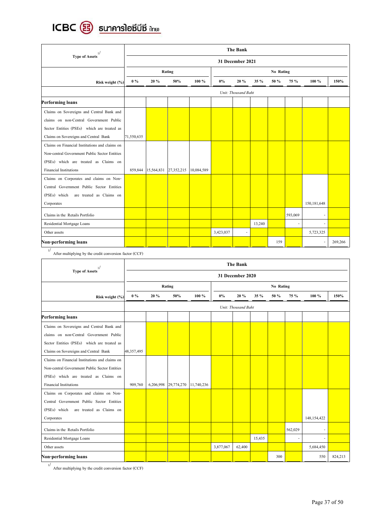

| 1/                                             |            |                     |            |            |           | <b>The Bank</b>  |        |           |         |               |         |
|------------------------------------------------|------------|---------------------|------------|------------|-----------|------------------|--------|-----------|---------|---------------|---------|
| <b>Type of Assets</b>                          |            |                     |            |            |           | 31 December 2021 |        |           |         |               |         |
|                                                |            |                     | Rating     |            |           |                  |        | No Rating |         |               |         |
| Risk weight (%)                                | $0\%$      | 20 %                | 50%        | 100 %      | $0\%$     | 20%              | 35 %   | 50 %      | 75 %    | 100 %         | 150%    |
|                                                |            | Unit: Thousand Baht |            |            |           |                  |        |           |         |               |         |
| <b>Performing loans</b>                        |            |                     |            |            |           |                  |        |           |         |               |         |
| Claims on Sovereigns and Central Bank and      |            |                     |            |            |           |                  |        |           |         |               |         |
| claims on non-Central Government Public        |            |                     |            |            |           |                  |        |           |         |               |         |
| Sector Entities (PSEs) which are treated as    |            |                     |            |            |           |                  |        |           |         |               |         |
| Claims on Sovereigns and Central Bank          | 71,550,635 |                     |            |            |           |                  |        |           |         |               |         |
| Claims on Financial Institutions and claims on |            |                     |            |            |           |                  |        |           |         |               |         |
| Non-central Government Public Sector Entities  |            |                     |            |            |           |                  |        |           |         |               |         |
| (PSEs) which are treated as Claims on          |            |                     |            |            |           |                  |        |           |         |               |         |
| <b>Financial Institutions</b>                  | 859,844    | 15,564,831          | 27,352,215 | 10,084,589 |           |                  |        |           |         |               |         |
| Claims on Corporates and claims on Non-        |            |                     |            |            |           |                  |        |           |         |               |         |
| Central Government Public Sector Entities      |            |                     |            |            |           |                  |        |           |         |               |         |
| (PSEs) which<br>are treated as Claims on       |            |                     |            |            |           |                  |        |           |         |               |         |
| Corporates                                     |            |                     |            |            |           |                  |        |           |         | 150, 181, 648 |         |
| Claims in the Retails Portfolio                |            |                     |            |            |           |                  |        |           | 593,069 | ٠             |         |
| Residential Mortgage Loans                     |            |                     |            |            |           |                  | 13,240 |           | ٠       |               |         |
| Other assets                                   |            |                     |            |            | 3,423,037 |                  |        |           |         | 5,723,325     |         |
| Non-performing loans                           |            |                     |            |            |           |                  |        | 159       |         |               | 269,266 |

 $1/$  After multiplying by the credit conversion factor (CCF)

|                                                |            | The Bank  |            |            |           |                         |        |           |         |             |         |
|------------------------------------------------|------------|-----------|------------|------------|-----------|-------------------------|--------|-----------|---------|-------------|---------|
| <b>Type of Assets</b>                          |            |           |            |            |           | <b>31 December 2020</b> |        |           |         |             |         |
|                                                |            |           | Rating     |            |           |                         |        | No Rating |         |             |         |
| Risk weight (%)                                | $0\%$      | 20%       | 50%        | 100 %      | 0%        | 20%                     | 35 %   | 50 %      | 75 %    | 100 %       | 150%    |
|                                                |            |           |            |            |           | Unit: Thousand Baht     |        |           |         |             |         |
| <b>Performing loans</b>                        |            |           |            |            |           |                         |        |           |         |             |         |
| Claims on Sovereigns and Central Bank and      |            |           |            |            |           |                         |        |           |         |             |         |
| claims on non-Central Government Public        |            |           |            |            |           |                         |        |           |         |             |         |
| Sector Entities (PSEs) which are treated as    |            |           |            |            |           |                         |        |           |         |             |         |
| Claims on Sovereigns and Central Bank          | 48,357,495 |           |            |            |           |                         |        |           |         |             |         |
| Claims on Financial Institutions and claims on |            |           |            |            |           |                         |        |           |         |             |         |
| Non-central Government Public Sector Entities  |            |           |            |            |           |                         |        |           |         |             |         |
| (PSEs) which are treated as Claims on          |            |           |            |            |           |                         |        |           |         |             |         |
| <b>Financial Institutions</b>                  | 909,760    | 6,206,998 | 29,774,270 | 11,740,236 |           |                         |        |           |         |             |         |
| Claims on Corporates and claims on Non-        |            |           |            |            |           |                         |        |           |         |             |         |
| Central Government Public Sector Entities      |            |           |            |            |           |                         |        |           |         |             |         |
| (PSEs) which<br>are treated as Claims on       |            |           |            |            |           |                         |        |           |         |             |         |
| Corporates                                     |            |           |            |            |           |                         |        |           |         | 148,154,422 |         |
| Claims in the Retails Portfolio                |            |           |            |            |           |                         |        |           | 562,029 |             |         |
| Residential Mortgage Loans                     |            |           |            |            |           |                         | 15,435 |           | $\sim$  | ÷           |         |
| Other assets                                   |            |           |            |            | 3,877,067 | 62,400                  |        |           |         | 5,684,450   |         |
| Non-performing loans                           |            |           |            |            |           |                         |        | 300       |         | 550         | 824,213 |

 $1/$  After multiplying by the credit conversion factor (CCF)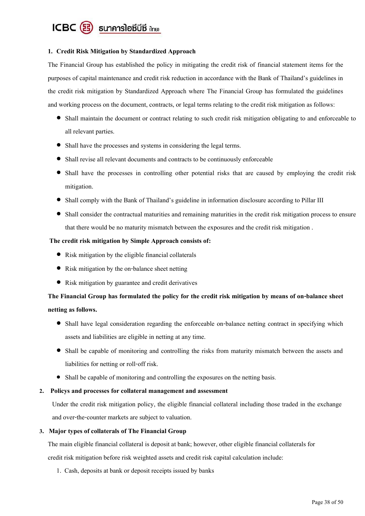

## **1. Credit Risk Mitigation by Standardized Approach**

The Financial Group has established the policy in mitigating the credit risk of financial statement items for the purposes of capital maintenance and credit risk reduction in accordance with the Bank of Thailand's guidelines in the credit risk mitigation by Standardized Approach where The Financial Group has formulated the guidelines and working process on the document, contracts, or legal terms relating to the credit risk mitigation as follows:

- Shall maintain the document or contract relating to such credit risk mitigation obligating to and enforceable to all relevant parties.
- Shall have the processes and systems in considering the legal terms.
- Shall revise all relevant documents and contracts to be continuously enforceable
- Shall have the processes in controlling other potential risks that are caused by employing the credit risk mitigation.
- Shall comply with the Bank of Thailand's guideline in information disclosure according to Pillar III
- Shall consider the contractual maturities and remaining maturities in the credit risk mitigation process to ensure that there would be no maturity mismatch between the exposures and the credit risk mitigation .

## **The credit risk mitigation by Simple Approach consists of:**

- $\bullet$  Risk mitigation by the eligible financial collaterals
- Risk mitigation by the on-balance sheet netting
- Risk mitigation by guarantee and credit derivatives

# **The Financial Group has formulated the policy for the credit risk mitigation by means of on-balance sheet netting as follows.**

- Shall have legal consideration regarding the enforceable on-balance netting contract in specifying which assets and liabilities are eligible in netting at any time.
- Shall be capable of monitoring and controlling the risks from maturity mismatch between the assets and liabilities for netting or roll-off risk.
- Shall be capable of monitoring and controlling the exposures on the netting basis.

# **2. Policys and processes for collateral management and assessment**

Under the credit risk mitigation policy, the eligible financial collateral including those traded in the exchange and over-the-counter markets are subject to valuation.

#### **3. Major types of collaterals of The Financial Group**

The main eligible financial collateral is deposit at bank; however, other eligible financial collaterals for credit risk mitigation before risk weighted assets and credit risk capital calculation include:

1. Cash, deposits at bank or deposit receipts issued by banks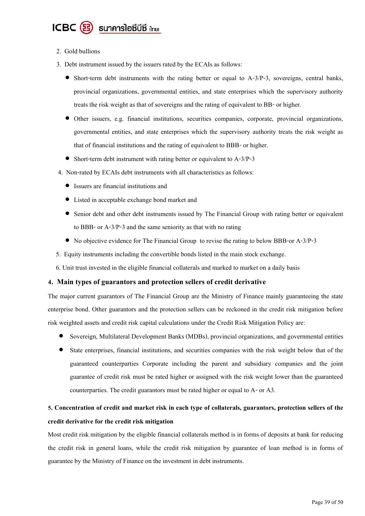

- 2. Gold bullions
- 3. Debt instrument issued by the issuers rated by the ECAIs as follows:
	- $\bullet$  Short-term debt instruments with the rating better or equal to A-3/P-3, sovereigns, central banks, provincial organizations, governmental entities, and state enterprises which the supervisory authority treats the risk weight as that of sovereigns and the rating of equivalent to BB-or higher.
	- Other issuers, e.g. financial institutions, securities companies, corporate, provincial organizations, governmental entities, and state enterprises which the supervisory authority treats the risk weight as that of financial institutions and the rating of equivalent to BBB-or higher.
	- Short-term debt instrument with rating better or equivalent to A-3/P-3
- 4. Non-rated by ECAIs debt instruments with all characteristics as follows:
	- Issuers are financial institutions and
	- Listed in acceptable exchange bond market and
	- Senior debt and other debt instruments issued by The Financial Group with rating better or equivalent to BBB-or A-3/P-3 and the same seniority as that with no rating
	- No objective evidence for The Financial Group to revise the rating to below BBB-or A-3/P-3
- 5. Equity instruments including the convertible bonds listed in the main stock exchange.
- 6. Unit trust invested in the eligible financial collaterals and marked to market on a daily basis

#### **4. Main types of guarantors and protection sellers of credit derivative**

The major current guarantors of The Financial Group are the Ministry of Finance mainly guaranteeing the state enterprise bond. Other guarantors and the protection sellers can be reckoned in the credit risk mitigation before risk weighted assets and credit risk capital calculations under the Credit Risk Mitigation Policy are:

- Sovereign, Multilateral Development Banks (MDBs), provincial organizations, and governmental entities
- State enterprises, financial institutions, and securities companies with the risk weight below that of the guaranteed counterparties Corporate including the parent and subsidiary companies and the joint guarantee of credit risk must be rated higher or assigned with the risk weight lower than the guaranteed counterparties. The credit guarantors must be rated higher or equal to A-or A3.

# **5. Concentration of credit and market risk in each type of collaterals, guarantors, protection sellers of the credit derivative for the credit risk mitigation**

Most credit risk mitigation by the eligible financial collaterals method is in forms of deposits at bank for reducing the credit risk in general loans, while the credit risk mitigation by guarantee of loan method is in forms of guarantee by the Ministry of Finance on the investment in debt instruments.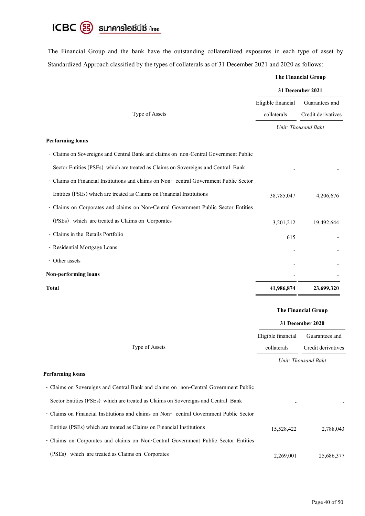

The Financial Group and the bank have the outstanding collateralized exposures in each type of asset by Standardized Approach classified by the types of collaterals as of 31 December 2021 and 2020 as follows:

|                                                                                       | <b>The Financial Group</b> |                     |  |
|---------------------------------------------------------------------------------------|----------------------------|---------------------|--|
|                                                                                       | 31 December 2021           |                     |  |
|                                                                                       | Eligible financial         | Guarantees and      |  |
| Type of Assets                                                                        | collaterals                | Credit derivatives  |  |
|                                                                                       |                            | Unit: Thousand Baht |  |
| <b>Performing loans</b>                                                               |                            |                     |  |
| - Claims on Sovereigns and Central Bank and claims on non-Central Government Public   |                            |                     |  |
| Sector Entities (PSEs) which are treated as Claims on Sovereigns and Central Bank     |                            |                     |  |
| - Claims on Financial Institutions and claims on Non-eentral Government Public Sector |                            |                     |  |
| Entities (PSEs) which are treated as Claims on Financial Institutions                 | 38,785,047                 | 4,206,676           |  |
| - Claims on Corporates and claims on Non-Central Government Public Sector Entities    |                            |                     |  |
| (PSEs) which are treated as Claims on Corporates                                      | 3,201,212                  | 19,492,644          |  |
| - Claims in the Retails Portfolio                                                     | 615                        |                     |  |
| - Residential Mortgage Loans                                                          |                            |                     |  |
| - Other assets                                                                        |                            |                     |  |
| Non-performing loans                                                                  |                            |                     |  |
| <b>Total</b>                                                                          | 41,986,874                 | 23,699,320          |  |

## **The Financial Group**

|                |                    | 31 December 2020    |  |  |
|----------------|--------------------|---------------------|--|--|
|                | Eligible financial | Guarantees and      |  |  |
| Type of Assets | collaterals        | Credit derivatives  |  |  |
|                |                    | Unit: Thousand Baht |  |  |

## **Performing loans**

| - Claims on Sovereigns and Central Bank and claims on non-Central Government Public   |            |            |
|---------------------------------------------------------------------------------------|------------|------------|
| Sector Entities (PSEs) which are treated as Claims on Sovereigns and Central Bank     | ۰          |            |
| - Claims on Financial Institutions and claims on Non-central Government Public Sector |            |            |
| Entities (PSEs) which are treated as Claims on Financial Institutions                 | 15,528,422 | 2,788,043  |
| - Claims on Corporates and claims on Non-Central Government Public Sector Entities    |            |            |
| (PSEs) which are treated as Claims on Corporates                                      | 2,269,001  | 25,686,377 |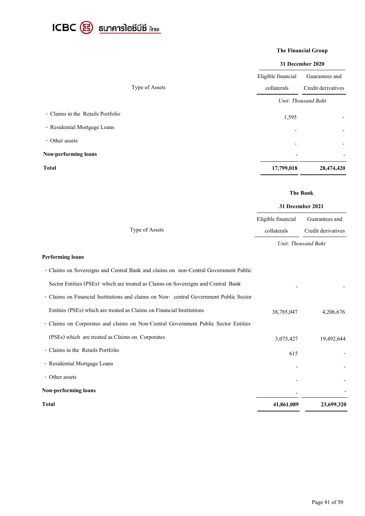

## **The Financial Group**

### **31 December 2020**

|                                   | Eligible financial       | Guarantees and      |
|-----------------------------------|--------------------------|---------------------|
| Type of Assets                    | collaterals              | Credit derivatives  |
|                                   |                          | Unit: Thousand Baht |
| - Claims in the Retails Portfolio | 1,595                    |                     |
| - Residential Mortgage Loans      |                          |                     |
| - Other assets                    | $\overline{a}$           |                     |
| Non-performing loans              | $\overline{\phantom{a}}$ |                     |
| <b>Total</b>                      | 17,799,018               | 28,474,420          |

# **The Bank**

|                | 31 December 2021   |                     |  |
|----------------|--------------------|---------------------|--|
|                | Eligible financial | Guarantees and      |  |
| Type of Assets | collaterals        | Credit derivatives  |  |
|                |                    | Unit: Thousand Baht |  |

## **Performing loans**

| <b>Total</b>                                                                          | 41,861,089 | 23,699,320 |
|---------------------------------------------------------------------------------------|------------|------------|
| Non-performing loans                                                                  |            |            |
| - Other assets                                                                        |            |            |
| - Residential Mortgage Loans                                                          |            |            |
| - Claims in the Retails Portfolio                                                     | 615        |            |
| (PSEs) which are treated as Claims on Corporates                                      | 3,075,427  | 19,492,644 |
| - Claims on Corporates and claims on Non-Central Government Public Sector Entities    |            |            |
| Entities (PSEs) which are treated as Claims on Financial Institutions                 | 38,785,047 | 4,206,676  |
| - Claims on Financial Institutions and claims on Non-eentral Government Public Sector |            |            |
| Sector Entities (PSEs) which are treated as Claims on Sovereigns and Central Bank     |            |            |
| - Claims on Sovereigns and Central Bank and claims on non-Central Government Public   |            |            |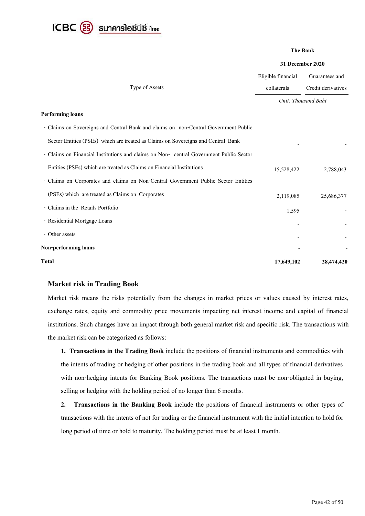

#### **The Bank**

# **31 December 2020**

|                                                                                        | Eligible financial | Guarantees and      |
|----------------------------------------------------------------------------------------|--------------------|---------------------|
| Type of Assets                                                                         | collaterals        | Credit derivatives  |
|                                                                                        |                    | Unit: Thousand Baht |
| <b>Performing loans</b>                                                                |                    |                     |
| - Claims on Sovereigns and Central Bank and claims on non-Central Government Public    |                    |                     |
| Sector Entities (PSEs) which are treated as Claims on Sovereigns and Central Bank      |                    |                     |
| - Claims on Financial Institutions and claims on Non- central Government Public Sector |                    |                     |
| Entities (PSEs) which are treated as Claims on Financial Institutions                  | 15,528,422         | 2,788,043           |
| - Claims on Corporates and claims on Non-Central Government Public Sector Entities     |                    |                     |
| (PSEs) which are treated as Claims on Corporates                                       | 2,119,085          | 25,686,377          |
| - Claims in the Retails Portfolio                                                      | 1,595              |                     |
| - Residential Mortgage Loans                                                           |                    |                     |
| - Other assets                                                                         |                    |                     |
| Non-performing loans                                                                   |                    |                     |
| <b>Total</b>                                                                           | 17,649,102         | 28,474,420          |

# **Market risk in Trading Book**

Market risk means the risks potentially from the changes in market prices or values caused by interest rates, exchange rates, equity and commodity price movements impacting net interest income and capital of financial institutions. Such changes have an impact through both general market risk and specific risk. The transactions with the market risk can be categorized as follows:

**1. Transactions in the Trading Book** include the positions of financial instruments and commodities with the intents of trading or hedging of other positions in the trading book and all types of financial derivatives with non-hedging intents for Banking Book positions. The transactions must be non-obligated in buying, selling or hedging with the holding period of no longer than 6 months.

**2. Transactions in the Banking Book** include the positions of financial instruments or other types of transactions with the intents of not for trading or the financial instrument with the initial intention to hold for long period of time or hold to maturity. The holding period must be at least 1 month.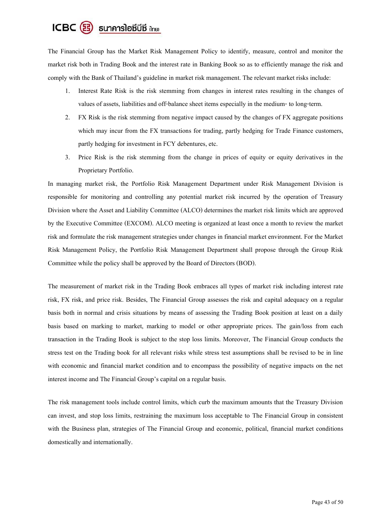# $ICBC$  $(B)$  sunanslarior  $\overline{a}$

The Financial Group has the Market Risk Management Policy to identify, measure, control and monitor the market risk both in Trading Book and the interest rate in Banking Book so as to efficiently manage the risk and comply with the Bank of Thailand's guideline in market risk management. The relevant market risks include:

- 1. Interest Rate Risk is the risk stemming from changes in interest rates resulting in the changes of values of assets, liabilities and off-balance sheet items especially in the medium- to long-term.
- 2. FX Risk is the risk stemming from negative impact caused by the changes of FX aggregate positions which may incur from the FX transactions for trading, partly hedging for Trade Finance customers, partly hedging for investment in FCY debentures, etc.
- 3. Price Risk is the risk stemming from the change in prices of equity or equity derivatives in the Proprietary Portfolio.

In managing market risk, the Portfolio Risk Management Department under Risk Management Division is responsible for monitoring and controlling any potential market risk incurred by the operation of Treasury Division where the Asset and Liability Committee (ALCO) determines the market risk limits which are approved by the Executive Committee (EXCOM). ALCO meeting is organized at least once a month to review the market risk and formulate the risk management strategies under changes in financial market environment. For the Market Risk Management Policy, the Portfolio Risk Management Department shall propose through the Group Risk Committee while the policy shall be approved by the Board of Directors (BOD).

The measurement of market risk in the Trading Book embraces all types of market risk including interest rate risk, FX risk, and price risk. Besides, The Financial Group assesses the risk and capital adequacy on a regular basis both in normal and crisis situations by means of assessing the Trading Book position at least on a daily basis based on marking to market, marking to model or other appropriate prices. The gain/loss from each transaction in the Trading Book is subject to the stop loss limits. Moreover, The Financial Group conducts the stress test on the Trading book for all relevant risks while stress test assumptions shall be revised to be in line with economic and financial market condition and to encompass the possibility of negative impacts on the net interest income and The Financial Group's capital on a regular basis.

The risk management tools include control limits, which curb the maximum amounts that the Treasury Division can invest, and stop loss limits, restraining the maximum loss acceptable to The Financial Group in consistent with the Business plan, strategies of The Financial Group and economic, political, financial market conditions domestically and internationally.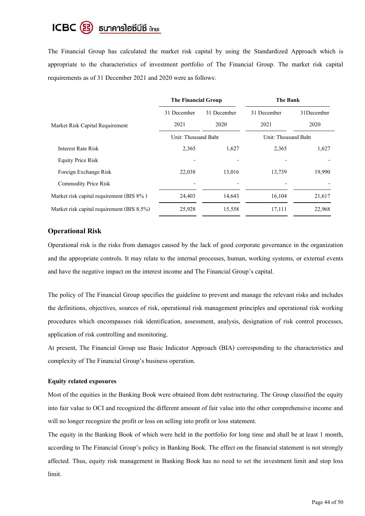#### ICBC B suาคารโอซีบีซี ilnย)

The Financial Group has calculated the market risk capital by using the Standardized Approach which is appropriate to the characteristics of investment portfolio of The Financial Group. The market risk capital requirements as of 31 December 2021 and 2020 were as follows:

|                                            | The Financial Group |             | The Bank            |            |  |
|--------------------------------------------|---------------------|-------------|---------------------|------------|--|
|                                            | 31 December         | 31 December | 31 December         | 31December |  |
| Market Risk Capital Requirement            | 2021                | 2020        | 2021                | 2020       |  |
|                                            | Unit: Thousand Baht |             | Unit: Thousand Baht |            |  |
| Interest Rate Risk                         | 2,365               | 1,627       | 2,365               | 1,627      |  |
| <b>Equity Price Risk</b>                   |                     |             |                     |            |  |
| Foreign Exchange Risk                      | 22,038              | 13,016      | 13,739              | 19,990     |  |
| <b>Commodity Price Risk</b>                |                     |             |                     |            |  |
| Market risk capital requirement (BIS 8%)   | 24,403              | 14,643      | 16,104              | 21,617     |  |
| Market risk capital requirement (BIS 8.5%) | 25,928              | 15,558      | 17,111              | 22,968     |  |

# **Operational Risk**

Operational risk is the risks from damages caused by the lack of good corporate governance in the organization and the appropriate controls. It may relate to the internal processes, human, working systems, or external events and have the negative impact on the interest income and The Financial Group's capital.

The policy of The Financial Group specifies the guideline to prevent and manage the relevant risks and includes the definitions, objectives, sources of risk, operational risk management principles and operational risk working procedures which encompasses risk identification, assessment, analysis, designation of risk control processes, application of risk controlling and monitoring.

At present, The Financial Group use Basic Indicator Approach (BIA) corresponding to the characteristics and complexity of The Financial Group's business operation.

# **Equity related exposures**

Most of the equities in the Banking Book were obtained from debt restructuring. The Group classified the equity into fair value to OCI and recognized the different amount of fair value into the other comprehensive income and will no longer recognize the profit or loss on selling into profit or loss statement.

The equity in the Banking Book of which were held in the portfolio for long time and shall be at least 1 month, according to The Financial Group's policy in Banking Book. The effect on the financial statement is not strongly affected. Thus, equity risk management in Banking Book has no need to set the investment limit and stop loss limit.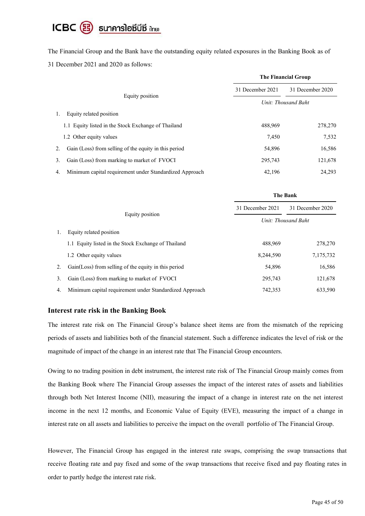# ICBC  $\circledR$  sunnnsloซีบีซี ilnย)

The Financial Group and the Bank have the outstanding equity related exposures in the Banking Book as of 31 December 2021 and 2020 as follows:

|                                                               | <b>The Financial Group</b> |                  |  |
|---------------------------------------------------------------|----------------------------|------------------|--|
|                                                               | 31 December 2021           | 31 December 2020 |  |
| Equity position                                               | Unit: Thousand Baht        |                  |  |
| Equity related position<br>1.                                 |                            |                  |  |
| 1.1 Equity listed in the Stock Exchange of Thailand           | 488,969                    | 278,270          |  |
| 1.2 Other equity values                                       | 7,450                      | 7,532            |  |
| Gain (Loss) from selling of the equity in this period<br>2.   | 54,896                     | 16,586           |  |
| Gain (Loss) from marking to market of FVOCI<br>3.             | 295,743                    | 121,678          |  |
| Minimum capital requirement under Standardized Approach<br>4. | 42,196                     | 24,293           |  |

|    |                                                         | The Bank            |                  |  |
|----|---------------------------------------------------------|---------------------|------------------|--|
|    |                                                         | 31 December 2021    | 31 December 2020 |  |
|    | Equity position                                         | Unit: Thousand Baht |                  |  |
|    | Equity related position                                 |                     |                  |  |
|    | 1.1 Equity listed in the Stock Exchange of Thailand     | 488,969             | 278,270          |  |
|    | 1.2 Other equity values                                 | 8,244,590           | 7,175,732        |  |
| 2. | Gain(Loss) from selling of the equity in this period    | 54,896              | 16,586           |  |
| 3. | Gain (Loss) from marking to market of FVOCI             | 295,743             | 121,678          |  |
| 4. | Minimum capital requirement under Standardized Approach | 742,353             | 633,590          |  |

# **Interest rate risk in the Banking Book**

The interest rate risk on The Financial Group's balance sheet items are from the mismatch of the repricing periods of assets and liabilities both of the financial statement. Such a difference indicates the level of risk or the magnitude of impact of the change in an interest rate that The Financial Group encounters.

Owing to no trading position in debt instrument, the interest rate risk of The Financial Group mainly comes from the Banking Book where The Financial Group assesses the impact of the interest rates of assets and liabilities through both Net Interest Income (NII), measuring the impact of a change in interest rate on the net interest income in the next 12 months, and Economic Value of Equity (EVE), measuring the impact of a change in interest rate on all assets and liabilities to perceive the impact on the overall portfolio of The Financial Group.

However, The Financial Group has engaged in the interest rate swaps, comprising the swap transactions that receive floating rate and pay fixed and some of the swap transactions that receive fixed and pay floating rates in order to partly hedge the interest rate risk.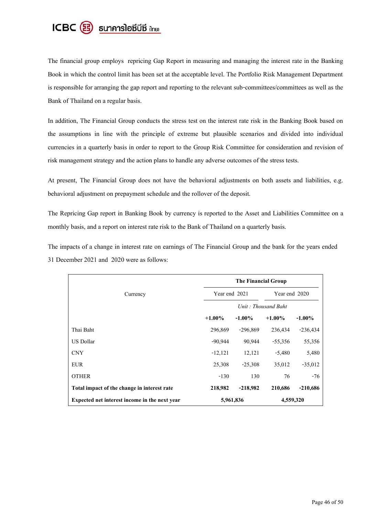

The financial group employs repricing Gap Report in measuring and managing the interest rate in the Banking Book in which the control limit has been set at the acceptable level. The Portfolio Risk Management Department is responsible for arranging the gap report and reporting to the relevant sub-committees/committees as well as the Bank of Thailand on a regular basis.

In addition, The Financial Group conducts the stress test on the interest rate risk in the Banking Book based on the assumptions in line with the principle of extreme but plausible scenarios and divided into individual currencies in a quarterly basis in order to report to the Group Risk Committee for consideration and revision of risk management strategy and the action plans to handle any adverse outcomes of the stress tests.

At present, The Financial Group does not have the behavioral adjustments on both assets and liabilities, e.g. behavioral adjustment on prepayment schedule and the rollover of the deposit.

The Repricing Gap report in Banking Book by currency is reported to the Asset and Liabilities Committee on a monthly basis, and a report on interest rate risk to the Bank of Thailand on a quarterly basis.

The impacts of a change in interest rate on earnings of The Financial Group and the bank for the years ended 31 December 2021 and 2020 were as follows:

|                                               | The Financial Group                              |               |           |               |  |
|-----------------------------------------------|--------------------------------------------------|---------------|-----------|---------------|--|
| Currency                                      |                                                  | Year end 2021 |           | Year end 2020 |  |
|                                               | Unit: Thousand Baht                              |               |           |               |  |
|                                               | $+1.00\%$<br>$+1.00\%$<br>$-1.00\%$<br>$-1.00\%$ |               |           |               |  |
| Thai Baht                                     | 296,869                                          | $-296,869$    | 236,434   | $-236,434$    |  |
| US Dollar                                     | $-90,944$                                        | 90,944        | $-55,356$ | 55,356        |  |
| <b>CNY</b>                                    | $-12,121$                                        | 12,121        | $-5,480$  | 5,480         |  |
| <b>EUR</b>                                    | 25,308                                           | $-25,308$     | 35,012    | $-35,012$     |  |
| <b>OTHER</b>                                  | $-130$                                           | 130           | 76        | $-76$         |  |
| Total impact of the change in interest rate   | 218,982                                          | $-218,982$    | 210,686   | $-210,686$    |  |
| Expected net interest income in the next year | 5,961,836<br>4,559,320                           |               |           |               |  |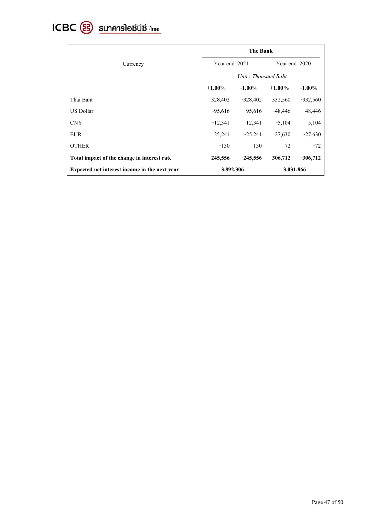

|                                               | <b>The Bank</b>        |            |               |            |
|-----------------------------------------------|------------------------|------------|---------------|------------|
| Year end 2021<br>Currency                     |                        |            | Year end 2020 |            |
|                                               | Unit: Thousand Baht    |            |               |            |
|                                               | $+1.00\%$              | $-1.00\%$  | $+1.00\%$     | $-1.00\%$  |
| Thai Baht                                     | 328,402                | $-328,402$ | 332,560       | $-332,560$ |
| US Dollar                                     | $-95,616$              | 95,616     | $-48,446$     | 48,446     |
| <b>CNY</b>                                    | $-12,341$              | 12,341     | $-5,104$      | 5,104      |
| <b>EUR</b>                                    | 25,241                 | $-25,241$  | 27,630        | $-27,630$  |
| <b>OTHER</b>                                  | $-130$                 | 130        | 72            | $-72$      |
| Total impact of the change in interest rate   | 245,556                | $-245,556$ | 306,712       | $-306,712$ |
| Expected net interest income in the next year | 3,031,866<br>3,892,306 |            |               |            |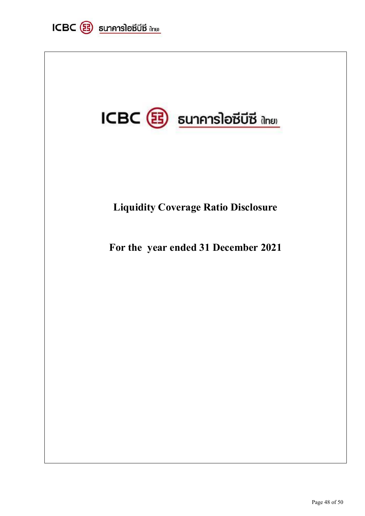

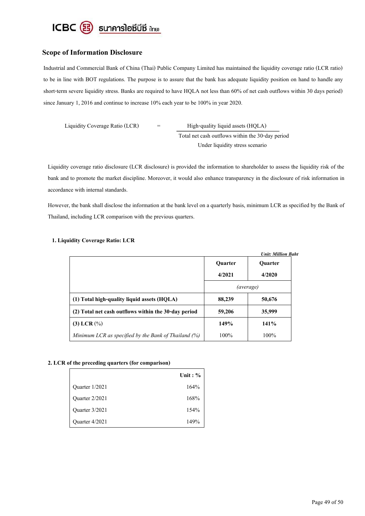

# **Scope of Information Disclosure**

Industrial and Commercial Bank of China (Thai) Public Company Limited has maintained the liquidity coverage ratio (LCR ratio) to be in line with BOT regulations. The purpose is to assure that the bank has adequate liquidity position on hand to handle any short-term severe liquidity stress. Banks are required to have HQLA not less than 60% of net cash outflows within 30 days period) since January 1, 2016 and continue to increase 10% each year to be 100% in year 2020.

 Liquidity Coverage Ratio (LCR) = High-quality liquid assets (HQLA) Total net cash outflows within the 30-day period Under liquidity stress scenario

Liquidity coverage ratio disclosure (LCR disclosure) is provided the information to shareholder to assess the liquidity risk of the bank and to promote the market discipline. Moreover, it would also enhance transparency in the disclosure of risk information in accordance with internal standards.

However, the bank shall disclose the information at the bank level on a quarterly basis, minimum LCR as specified by the Bank of Thailand, including LCR comparison with the previous quarters.

|                                                      |                | <b>Unit: Million Baht</b> |
|------------------------------------------------------|----------------|---------------------------|
|                                                      | <b>Quarter</b> | <b>Quarter</b>            |
|                                                      | 4/2021         | 4/2020                    |
|                                                      | (average)      |                           |
| (1) Total high-quality liquid assets (HQLA)          | 88,239         | 50,676                    |
| (2) Total net cash outflows within the 30-day period | 59,206         | 35,999                    |
| $(3)$ LCR $(\%)$                                     | 149%           | <b>141%</b>               |
| Minimum LCR as specified by the Bank of Thailand (%) | 100%           | $100\%$                   |

#### **1. Liquidity Coverage Ratio: LCR**

#### **2. LCR of the preceding quarters (for comparison)**

|                | Unit: $\%$ |
|----------------|------------|
| Quarter 1/2021 | 164%       |
| Quarter 2/2021 | 168%       |
| Quarter 3/2021 | 154%       |
| Ouarter 4/2021 | 149%       |